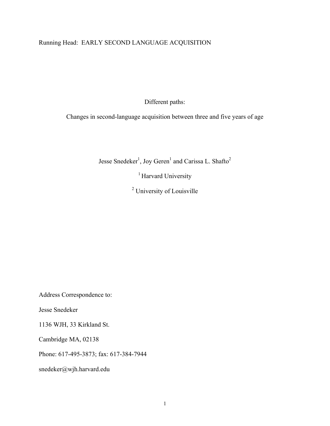# Running Head: EARLY SECOND LANGUAGE ACQUISITION

Different paths:

Changes in second-language acquisition between three and five years of age

Jesse Snedeker<sup>1</sup>, Joy Geren<sup>1</sup> and Carissa L. Shafto<sup>2</sup>

<sup>1</sup> Harvard University

<sup>2</sup> University of Louisville

Address Correspondence to:

Jesse Snedeker

1136 WJH, 33 Kirkland St.

Cambridge MA, 02138

Phone: 617-495-3873; fax: 617-384-7944

snedeker@wjh.harvard.edu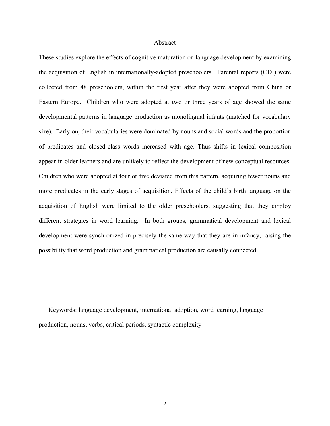#### Abstract

These studies explore the effects of cognitive maturation on language development by examining the acquisition of English in internationally-adopted preschoolers. Parental reports (CDI) were collected from 48 preschoolers, within the first year after they were adopted from China or Eastern Europe. Children who were adopted at two or three years of age showed the same developmental patterns in language production as monolingual infants (matched for vocabulary size). Early on, their vocabularies were dominated by nouns and social words and the proportion of predicates and closed-class words increased with age. Thus shifts in lexical composition appear in older learners and are unlikely to reflect the development of new conceptual resources. Children who were adopted at four or five deviated from this pattern, acquiring fewer nouns and more predicates in the early stages of acquisition. Effects of the child's birth language on the acquisition of English were limited to the older preschoolers, suggesting that they employ different strategies in word learning. In both groups, grammatical development and lexical development were synchronized in precisely the same way that they are in infancy, raising the possibility that word production and grammatical production are causally connected.

Keywords: language development, international adoption, word learning, language production, nouns, verbs, critical periods, syntactic complexity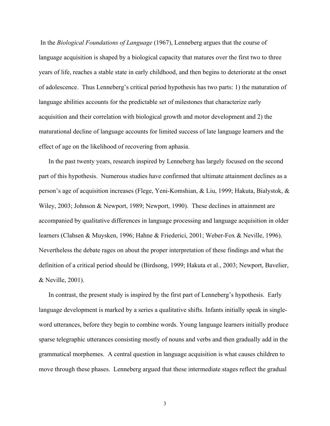In the *Biological Foundations of Language* (1967), Lenneberg argues that the course of language acquisition is shaped by a biological capacity that matures over the first two to three years of life, reaches a stable state in early childhood, and then begins to deteriorate at the onset of adolescence. Thus Lenneberg's critical period hypothesis has two parts: 1) the maturation of language abilities accounts for the predictable set of milestones that characterize early acquisition and their correlation with biological growth and motor development and 2) the maturational decline of language accounts for limited success of late language learners and the effect of age on the likelihood of recovering from aphasia.

In the past twenty years, research inspired by Lenneberg has largely focused on the second part of this hypothesis. Numerous studies have confirmed that ultimate attainment declines as a person's age of acquisition increases (Flege, Yeni-Komshian, & Liu, 1999; Hakuta, Bialystok, & Wiley, 2003; Johnson & Newport, 1989; Newport, 1990). These declines in attainment are accompanied by qualitative differences in language processing and language acquisition in older learners (Clahsen & Muysken, 1996; Hahne & Friederici, 2001; Weber-Fox & Neville, 1996). Nevertheless the debate rages on about the proper interpretation of these findings and what the definition of a critical period should be (Birdsong, 1999; Hakuta et al., 2003; Newport, Bavelier, & Neville, 2001).

In contrast, the present study is inspired by the first part of Lenneberg's hypothesis. Early language development is marked by a series a qualitative shifts. Infants initially speak in singleword utterances, before they begin to combine words. Young language learners initially produce sparse telegraphic utterances consisting mostly of nouns and verbs and then gradually add in the grammatical morphemes. A central question in language acquisition is what causes children to move through these phases. Lenneberg argued that these intermediate stages reflect the gradual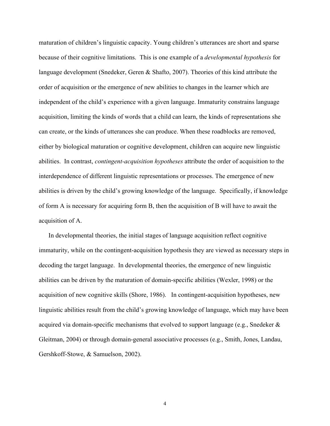maturation of children's linguistic capacity. Young children's utterances are short and sparse because of their cognitive limitations. This is one example of a *developmental hypothesis* for language development (Snedeker, Geren & Shafto, 2007). Theories of this kind attribute the order of acquisition or the emergence of new abilities to changes in the learner which are independent of the child's experience with a given language. Immaturity constrains language acquisition, limiting the kinds of words that a child can learn, the kinds of representations she can create, or the kinds of utterances she can produce. When these roadblocks are removed, either by biological maturation or cognitive development, children can acquire new linguistic abilities. In contrast, *contingent-acquisition hypotheses* attribute the order of acquisition to the interdependence of different linguistic representations or processes. The emergence of new abilities is driven by the child's growing knowledge of the language. Specifically, if knowledge of form A is necessary for acquiring form B, then the acquisition of B will have to await the acquisition of A.

In developmental theories, the initial stages of language acquisition reflect cognitive immaturity, while on the contingent-acquisition hypothesis they are viewed as necessary steps in decoding the target language. In developmental theories, the emergence of new linguistic abilities can be driven by the maturation of domain-specific abilities (Wexler, 1998) or the acquisition of new cognitive skills (Shore, 1986). In contingent-acquisition hypotheses, new linguistic abilities result from the child's growing knowledge of language, which may have been acquired via domain-specific mechanisms that evolved to support language (e.g., Snedeker & Gleitman, 2004) or through domain-general associative processes (e.g., Smith, Jones, Landau, Gershkoff-Stowe, & Samuelson, 2002).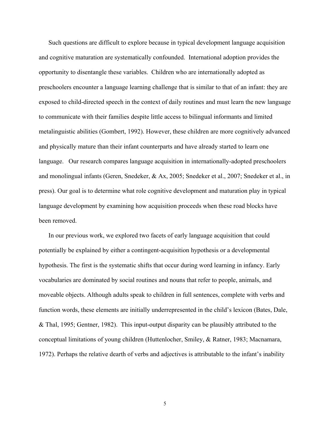Such questions are difficult to explore because in typical development language acquisition and cognitive maturation are systematically confounded. International adoption provides the opportunity to disentangle these variables. Children who are internationally adopted as preschoolers encounter a language learning challenge that is similar to that of an infant: they are exposed to child-directed speech in the context of daily routines and must learn the new language to communicate with their families despite little access to bilingual informants and limited metalinguistic abilities (Gombert, 1992). However, these children are more cognitively advanced and physically mature than their infant counterparts and have already started to learn one language. Our research compares language acquisition in internationally-adopted preschoolers and monolingual infants (Geren, Snedeker, & Ax, 2005; Snedeker et al., 2007; Snedeker et al., in press). Our goal is to determine what role cognitive development and maturation play in typical language development by examining how acquisition proceeds when these road blocks have been removed.

In our previous work, we explored two facets of early language acquisition that could potentially be explained by either a contingent-acquisition hypothesis or a developmental hypothesis. The first is the systematic shifts that occur during word learning in infancy. Early vocabularies are dominated by social routines and nouns that refer to people, animals, and moveable objects. Although adults speak to children in full sentences, complete with verbs and function words, these elements are initially underrepresented in the child's lexicon (Bates, Dale, & Thal, 1995; Gentner, 1982). This input-output disparity can be plausibly attributed to the conceptual limitations of young children (Huttenlocher, Smiley, & Ratner, 1983; Macnamara, 1972). Perhaps the relative dearth of verbs and adjectives is attributable to the infant's inability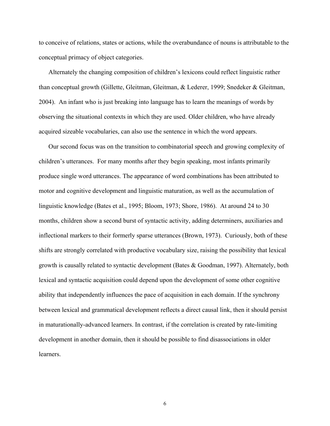to conceive of relations, states or actions, while the overabundance of nouns is attributable to the conceptual primacy of object categories.

Alternately the changing composition of children's lexicons could reflect linguistic rather than conceptual growth (Gillette, Gleitman, Gleitman, & Lederer, 1999; Snedeker & Gleitman, 2004). An infant who is just breaking into language has to learn the meanings of words by observing the situational contexts in which they are used. Older children, who have already acquired sizeable vocabularies, can also use the sentence in which the word appears.

Our second focus was on the transition to combinatorial speech and growing complexity of children's utterances. For many months after they begin speaking, most infants primarily produce single word utterances. The appearance of word combinations has been attributed to motor and cognitive development and linguistic maturation, as well as the accumulation of linguistic knowledge (Bates et al., 1995; Bloom, 1973; Shore, 1986). At around 24 to 30 months, children show a second burst of syntactic activity, adding determiners, auxiliaries and inflectional markers to their formerly sparse utterances (Brown, 1973). Curiously, both of these shifts are strongly correlated with productive vocabulary size, raising the possibility that lexical growth is causally related to syntactic development (Bates & Goodman, 1997). Alternately, both lexical and syntactic acquisition could depend upon the development of some other cognitive ability that independently influences the pace of acquisition in each domain. If the synchrony between lexical and grammatical development reflects a direct causal link, then it should persist in maturationally-advanced learners. In contrast, if the correlation is created by rate-limiting development in another domain, then it should be possible to find disassociations in older learners.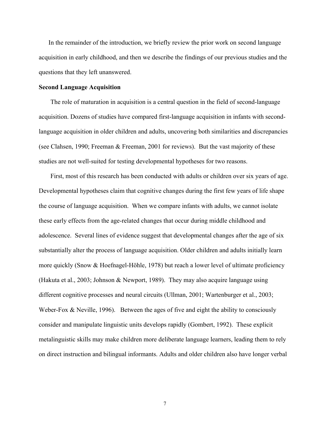In the remainder of the introduction, we briefly review the prior work on second language acquisition in early childhood, and then we describe the findings of our previous studies and the questions that they left unanswered.

### **Second Language Acquisition**

The role of maturation in acquisition is a central question in the field of second-language acquisition. Dozens of studies have compared first-language acquisition in infants with secondlanguage acquisition in older children and adults, uncovering both similarities and discrepancies (see Clahsen, 1990; Freeman & Freeman, 2001 for reviews). But the vast majority of these studies are not well-suited for testing developmental hypotheses for two reasons.

First, most of this research has been conducted with adults or children over six years of age. Developmental hypotheses claim that cognitive changes during the first few years of life shape the course of language acquisition. When we compare infants with adults, we cannot isolate these early effects from the age-related changes that occur during middle childhood and adolescence. Several lines of evidence suggest that developmental changes after the age of six substantially alter the process of language acquisition. Older children and adults initially learn more quickly (Snow & Hoefnagel-Höhle, 1978) but reach a lower level of ultimate proficiency (Hakuta et al., 2003; Johnson & Newport, 1989). They may also acquire language using different cognitive processes and neural circuits (Ullman, 2001; Wartenburger et al., 2003; Weber-Fox & Neville, 1996). Between the ages of five and eight the ability to consciously consider and manipulate linguistic units develops rapidly (Gombert, 1992). These explicit metalinguistic skills may make children more deliberate language learners, leading them to rely on direct instruction and bilingual informants. Adults and older children also have longer verbal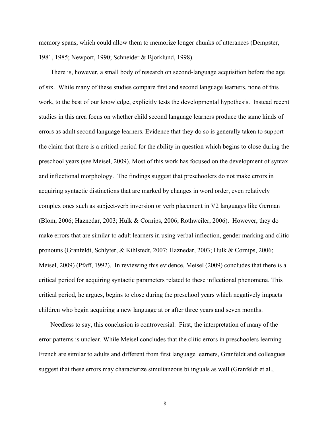memory spans, which could allow them to memorize longer chunks of utterances (Dempster, 1981, 1985; Newport, 1990; Schneider & Bjorklund, 1998).

There is, however, a small body of research on second-language acquisition before the age of six. While many of these studies compare first and second language learners, none of this work, to the best of our knowledge, explicitly tests the developmental hypothesis. Instead recent studies in this area focus on whether child second language learners produce the same kinds of errors as adult second language learners. Evidence that they do so is generally taken to support the claim that there is a critical period for the ability in question which begins to close during the preschool years (see Meisel, 2009). Most of this work has focused on the development of syntax and inflectional morphology. The findings suggest that preschoolers do not make errors in acquiring syntactic distinctions that are marked by changes in word order, even relatively complex ones such as subject-verb inversion or verb placement in V2 languages like German (Blom, 2006; Haznedar, 2003; Hulk & Cornips, 2006; Rothweiler, 2006). However, they do make errors that are similar to adult learners in using verbal inflection, gender marking and clitic pronouns (Granfeldt, Schlyter, & Kihlstedt, 2007; Haznedar, 2003; Hulk & Cornips, 2006; Meisel, 2009) (Pfaff, 1992). In reviewing this evidence, Meisel (2009) concludes that there is a critical period for acquiring syntactic parameters related to these inflectional phenomena. This critical period, he argues, begins to close during the preschool years which negatively impacts children who begin acquiring a new language at or after three years and seven months.

Needless to say, this conclusion is controversial. First, the interpretation of many of the error patterns is unclear. While Meisel concludes that the clitic errors in preschoolers learning French are similar to adults and different from first language learners, Granfeldt and colleagues suggest that these errors may characterize simultaneous bilinguals as well (Granfeldt et al.,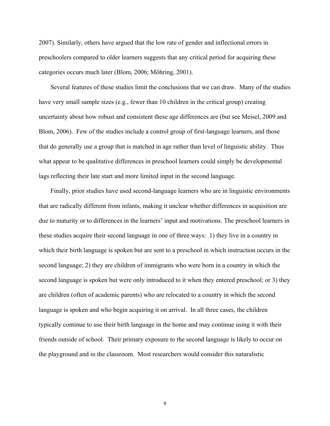2007). Similarly, others have argued that the low rate of gender and inflectional errors in preschoolers compared to older learners suggests that any critical period for acquiring these categories occurs much later (Blom, 2006; Möhring, 2001).

Several features of these studies limit the conclusions that we can draw. Many of the studies have very small sample sizes (e.g., fewer than 10 children in the critical group) creating uncertainty about how robust and consistent these age differences are (but see Meisel, 2009 and Blom, 2006). Few of the studies include a control group of first-language learners, and those that do generally use a group that is matched in age rather than level of linguistic ability. Thus what appear to be qualitative differences in preschool learners could simply be developmental lags reflecting their late start and more limited input in the second language.

Finally, prior studies have used second-language learners who are in linguistic environments that are radically different from infants, making it unclear whether differences in acquisition are due to maturity or to differences in the learners' input and motivations. The preschool learners in these studies acquire their second language in one of three ways: 1) they live in a country in which their birth language is spoken but are sent to a preschool in which instruction occurs in the second language; 2) they are children of immigrants who were born in a country in which the second language is spoken but were only introduced to it when they entered preschool; or 3) they are children (often of academic parents) who are relocated to a country in which the second language is spoken and who begin acquiring it on arrival. In all three cases, the children typically continue to use their birth language in the home and may continue using it with their friends outside of school. Their primary exposure to the second language is likely to occur on the playground and in the classroom. Most researchers would consider this naturalistic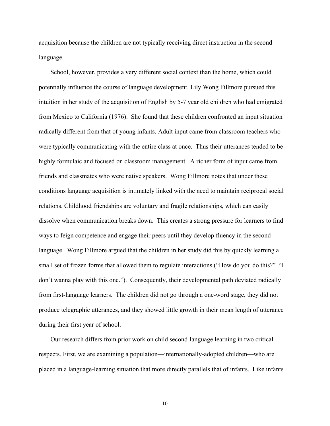acquisition because the children are not typically receiving direct instruction in the second language.

School, however, provides a very different social context than the home, which could potentially influence the course of language development. Lily Wong Fillmore pursued this intuition in her study of the acquisition of English by 5-7 year old children who had emigrated from Mexico to California (1976). She found that these children confronted an input situation radically different from that of young infants. Adult input came from classroom teachers who were typically communicating with the entire class at once. Thus their utterances tended to be highly formulaic and focused on classroom management. A richer form of input came from friends and classmates who were native speakers. Wong Fillmore notes that under these conditions language acquisition is intimately linked with the need to maintain reciprocal social relations. Childhood friendships are voluntary and fragile relationships, which can easily dissolve when communication breaks down. This creates a strong pressure for learners to find ways to feign competence and engage their peers until they develop fluency in the second language. Wong Fillmore argued that the children in her study did this by quickly learning a small set of frozen forms that allowed them to regulate interactions ("How do you do this?" "I don't wanna play with this one."). Consequently, their developmental path deviated radically from first-language learners. The children did not go through a one-word stage, they did not produce telegraphic utterances, and they showed little growth in their mean length of utterance during their first year of school.

Our research differs from prior work on child second-language learning in two critical respects. First, we are examining a population—internationally-adopted children—who are placed in a language-learning situation that more directly parallels that of infants. Like infants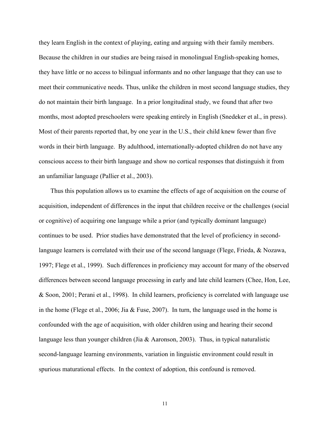they learn English in the context of playing, eating and arguing with their family members. Because the children in our studies are being raised in monolingual English-speaking homes, they have little or no access to bilingual informants and no other language that they can use to meet their communicative needs. Thus, unlike the children in most second language studies, they do not maintain their birth language. In a prior longitudinal study, we found that after two months, most adopted preschoolers were speaking entirely in English (Snedeker et al., in press). Most of their parents reported that, by one year in the U.S., their child knew fewer than five words in their birth language. By adulthood, internationally-adopted children do not have any conscious access to their birth language and show no cortical responses that distinguish it from an unfamiliar language (Pallier et al., 2003).

Thus this population allows us to examine the effects of age of acquisition on the course of acquisition, independent of differences in the input that children receive or the challenges (social or cognitive) of acquiring one language while a prior (and typically dominant language) continues to be used. Prior studies have demonstrated that the level of proficiency in secondlanguage learners is correlated with their use of the second language (Flege, Frieda, & Nozawa, 1997; Flege et al., 1999). Such differences in proficiency may account for many of the observed differences between second language processing in early and late child learners (Chee, Hon, Lee, & Soon, 2001; Perani et al., 1998). In child learners, proficiency is correlated with language use in the home (Flege et al., 2006; Jia & Fuse, 2007). In turn, the language used in the home is confounded with the age of acquisition, with older children using and hearing their second language less than younger children (Jia & Aaronson, 2003). Thus, in typical naturalistic second-language learning environments, variation in linguistic environment could result in spurious maturational effects. In the context of adoption, this confound is removed.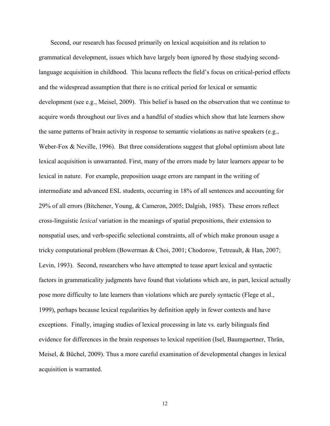Second, our research has focused primarily on lexical acquisition and its relation to grammatical development, issues which have largely been ignored by those studying secondlanguage acquisition in childhood. This lacuna reflects the field's focus on critical-period effects and the widespread assumption that there is no critical period for lexical or semantic development (see e.g., Meisel, 2009). This belief is based on the observation that we continue to acquire words throughout our lives and a handful of studies which show that late learners show the same patterns of brain activity in response to semantic violations as native speakers (e.g., Weber-Fox & Neville, 1996). But three considerations suggest that global optimism about late lexical acquisition is unwarranted. First, many of the errors made by later learners appear to be lexical in nature. For example, preposition usage errors are rampant in the writing of intermediate and advanced ESL students, occurring in 18% of all sentences and accounting for 29% of all errors (Bitchener, Young, & Cameron, 2005; Dalgish, 1985). These errors reflect cross-linguistic *lexical* variation in the meanings of spatial prepositions, their extension to nonspatial uses, and verb-specific selectional constraints, all of which make pronoun usage a tricky computational problem (Bowerman & Choi, 2001; Chodorow, Tetreault, & Han, 2007; Levin, 1993). Second, researchers who have attempted to tease apart lexical and syntactic factors in grammaticality judgments have found that violations which are, in part, lexical actually pose more difficulty to late learners than violations which are purely syntactic (Flege et al., 1999), perhaps because lexical regularities by definition apply in fewer contexts and have exceptions. Finally, imaging studies of lexical processing in late vs. early bilinguals find evidence for differences in the brain responses to lexical repetition (Isel, Baumgaertner, Thrän, Meisel, & Büchel, 2009). Thus a more careful examination of developmental changes in lexical acquisition is warranted.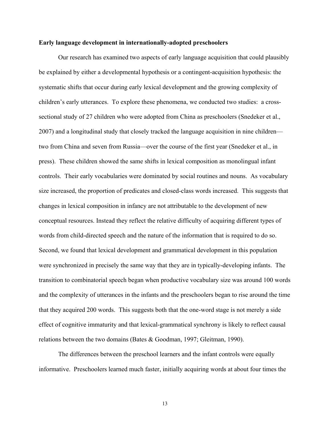### **Early language development in internationally-adopted preschoolers**

Our research has examined two aspects of early language acquisition that could plausibly be explained by either a developmental hypothesis or a contingent-acquisition hypothesis: the systematic shifts that occur during early lexical development and the growing complexity of children's early utterances. To explore these phenomena, we conducted two studies: a crosssectional study of 27 children who were adopted from China as preschoolers (Snedeker et al., 2007) and a longitudinal study that closely tracked the language acquisition in nine children two from China and seven from Russia—over the course of the first year (Snedeker et al., in press). These children showed the same shifts in lexical composition as monolingual infant controls. Their early vocabularies were dominated by social routines and nouns. As vocabulary size increased, the proportion of predicates and closed-class words increased. This suggests that changes in lexical composition in infancy are not attributable to the development of new conceptual resources. Instead they reflect the relative difficulty of acquiring different types of words from child-directed speech and the nature of the information that is required to do so. Second, we found that lexical development and grammatical development in this population were synchronized in precisely the same way that they are in typically-developing infants. The transition to combinatorial speech began when productive vocabulary size was around 100 words and the complexity of utterances in the infants and the preschoolers began to rise around the time that they acquired 200 words. This suggests both that the one-word stage is not merely a side effect of cognitive immaturity and that lexical-grammatical synchrony is likely to reflect causal relations between the two domains (Bates & Goodman, 1997; Gleitman, 1990).

The differences between the preschool learners and the infant controls were equally informative. Preschoolers learned much faster, initially acquiring words at about four times the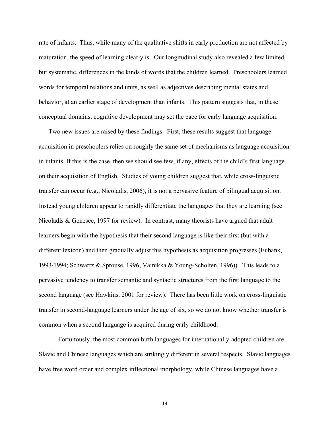rate of infants. Thus, while many of the qualitative shifts in early production are not affected by maturation, the speed of learning clearly is. Our longitudinal study also revealed a few limited, but systematic, differences in the kinds of words that the children learned. Preschoolers learned words for temporal relations and units, as well as adjectives describing mental states and behavior, at an earlier stage of development than infants. This pattern suggests that, in these conceptual domains, cognitive development may set the pace for early language acquisition.

Two new issues are raised by these findings. First, these results suggest that language acquisition in preschoolers relies on roughly the same set of mechanisms as language acquisition in infants. If this is the case, then we should see few, if any, effects of the child's first language on their acquisition of English. Studies of young children suggest that, while cross-linguistic transfer can occur (e.g., Nicoladis, 2006), it is not a pervasive feature of bilingual acquisition. Instead young children appear to rapidly differentiate the languages that they are learning (see Nicoladis & Genesee, 1997 for review). In contrast, many theorists have argued that adult learners begin with the hypothesis that their second language is like their first (but with a different lexicon) and then gradually adjust this hypothesis as acquisition progresses (Eubank, 1993/1994; Schwartz & Sprouse, 1996; Vainikka & Young-Scholten, 1996)). This leads to a pervasive tendency to transfer semantic and syntactic structures from the first language to the second language (see Hawkins, 2001 for review). There has been little work on cross-linguistic transfer in second-language learners under the age of six, so we do not know whether transfer is common when a second language is acquired during early childhood.

Fortuitously, the most common birth languages for internationally-adopted children are Slavic and Chinese languages which are strikingly different in several respects. Slavic languages have free word order and complex inflectional morphology, while Chinese languages have a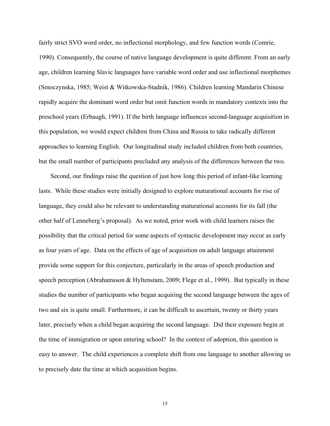fairly strict SVO word order, no inflectional morphology, and few function words (Comrie, 1990). Consequently, the course of native language development is quite different. From an early age, children learning Slavic languages have variable word order and use inflectional morphemes (Smoczynska, 1985; Weist & Witkowska-Stadnik, 1986). Children learning Mandarin Chinese rapidly acquire the dominant word order but omit function words in mandatory contexts into the preschool years (Erbaugh, 1991). If the birth language influences second-language acquisition in this population, we would expect children from China and Russia to take radically different approaches to learning English. Our longitudinal study included children from both countries, but the small number of participants precluded any analysis of the differences between the two.

Second, our findings raise the question of just how long this period of infant-like learning lasts. While these studies were initially designed to explore maturational accounts for rise of language, they could also be relevant to understanding maturational accounts for its fall (the other half of Lenneberg's proposal). As we noted, prior work with child learners raises the possibility that the critical period for some aspects of syntactic development may occur as early as four years of age. Data on the effects of age of acquisition on adult language attainment provide some support for this conjecture, particularly in the areas of speech production and speech perception (Abrahamsson & Hyltenstam, 2009; Flege et al., 1999). But typically in these studies the number of participants who began acquiring the second language between the ages of two and six is quite small. Furthermore, it can be difficult to ascertain, twenty or thirty years later, precisely when a child began acquiring the second language. Did their exposure begin at the time of immigration or upon entering school? In the context of adoption, this question is easy to answer. The child experiences a complete shift from one language to another allowing us to precisely date the time at which acquisition begins.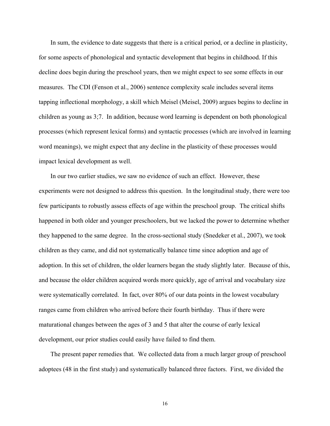In sum, the evidence to date suggests that there is a critical period, or a decline in plasticity, for some aspects of phonological and syntactic development that begins in childhood. If this decline does begin during the preschool years, then we might expect to see some effects in our measures. The CDI (Fenson et al., 2006) sentence complexity scale includes several items tapping inflectional morphology, a skill which Meisel (Meisel, 2009) argues begins to decline in children as young as 3;7. In addition, because word learning is dependent on both phonological processes (which represent lexical forms) and syntactic processes (which are involved in learning word meanings), we might expect that any decline in the plasticity of these processes would impact lexical development as well.

In our two earlier studies, we saw no evidence of such an effect. However, these experiments were not designed to address this question. In the longitudinal study, there were too few participants to robustly assess effects of age within the preschool group. The critical shifts happened in both older and younger preschoolers, but we lacked the power to determine whether they happened to the same degree. In the cross-sectional study (Snedeker et al., 2007), we took children as they came, and did not systematically balance time since adoption and age of adoption. In this set of children, the older learners began the study slightly later. Because of this, and because the older children acquired words more quickly, age of arrival and vocabulary size were systematically correlated. In fact, over 80% of our data points in the lowest vocabulary ranges came from children who arrived before their fourth birthday. Thus if there were maturational changes between the ages of 3 and 5 that alter the course of early lexical development, our prior studies could easily have failed to find them.

The present paper remedies that. We collected data from a much larger group of preschool adoptees (48 in the first study) and systematically balanced three factors. First, we divided the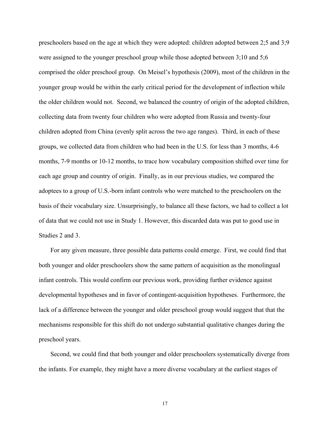preschoolers based on the age at which they were adopted: children adopted between 2;5 and 3;9 were assigned to the younger preschool group while those adopted between 3;10 and 5;6 comprised the older preschool group. On Meisel's hypothesis (2009), most of the children in the younger group would be within the early critical period for the development of inflection while the older children would not. Second, we balanced the country of origin of the adopted children, collecting data from twenty four children who were adopted from Russia and twenty-four children adopted from China (evenly split across the two age ranges). Third, in each of these groups, we collected data from children who had been in the U.S. for less than 3 months, 4-6 months, 7-9 months or 10-12 months, to trace how vocabulary composition shifted over time for each age group and country of origin. Finally, as in our previous studies, we compared the adoptees to a group of U.S.-born infant controls who were matched to the preschoolers on the basis of their vocabulary size. Unsurprisingly, to balance all these factors, we had to collect a lot of data that we could not use in Study 1. However, this discarded data was put to good use in Studies 2 and 3.

For any given measure, three possible data patterns could emerge. First, we could find that both younger and older preschoolers show the same pattern of acquisition as the monolingual infant controls. This would confirm our previous work, providing further evidence against developmental hypotheses and in favor of contingent-acquisition hypotheses. Furthermore, the lack of a difference between the younger and older preschool group would suggest that that the mechanisms responsible for this shift do not undergo substantial qualitative changes during the preschool years.

Second, we could find that both younger and older preschoolers systematically diverge from the infants. For example, they might have a more diverse vocabulary at the earliest stages of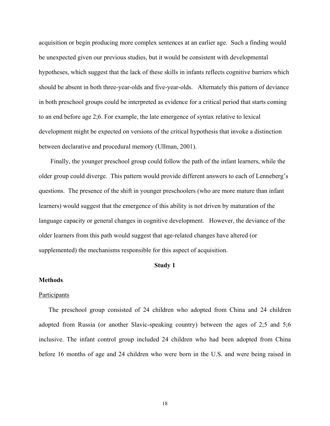acquisition or begin producing more complex sentences at an earlier age. Such a finding would be unexpected given our previous studies, but it would be consistent with developmental hypotheses, which suggest that the lack of these skills in infants reflects cognitive barriers which should be absent in both three-year-olds and five-year-olds. Alternately this pattern of deviance in both preschool groups could be interpreted as evidence for a critical period that starts coming to an end before age 2;6. For example, the late emergence of syntax relative to lexical development might be expected on versions of the critical hypothesis that invoke a distinction between declarative and procedural memory (Ullman, 2001).

Finally, the younger preschool group could follow the path of the infant learners, while the older group could diverge. This pattern would provide different answers to each of Lenneberg's questions. The presence of the shift in younger preschoolers (who are more mature than infant learners) would suggest that the emergence of this ability is not driven by maturation of the language capacity or general changes in cognitive development. However, the deviance of the older learners from this path would suggest that age-related changes have altered (or supplemented) the mechanisms responsible for this aspect of acquisition.

# **Study 1**

### **Methods**

#### Participants

The preschool group consisted of 24 children who adopted from China and 24 children adopted from Russia (or another Slavic-speaking country) between the ages of 2;5 and 5;6 inclusive. The infant control group included 24 children who had been adopted from China before 16 months of age and 24 children who were born in the U.S. and were being raised in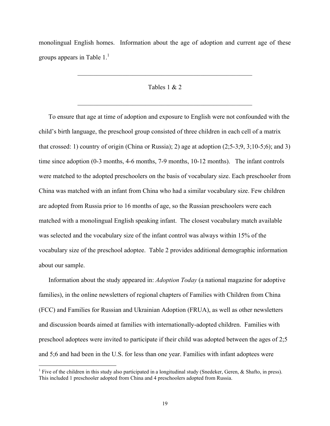monolingual English homes. Information about the age of adoption and current age of these groups appears in Table  $1<sup>1</sup>$ 

## Tables 1 & 2

 $\mathcal{L}_\text{max}$  , and the contract of the contract of the contract of the contract of the contract of the contract of the contract of the contract of the contract of the contract of the contract of the contract of the contr

 $\mathcal{L}_\text{max}$  and the contract of the contract of the contract of the contract of the contract of the contract of

To ensure that age at time of adoption and exposure to English were not confounded with the child's birth language, the preschool group consisted of three children in each cell of a matrix that crossed: 1) country of origin (China or Russia); 2) age at adoption (2;5-3;9, 3;10-5;6); and 3) time since adoption (0-3 months, 4-6 months, 7-9 months, 10-12 months). The infant controls were matched to the adopted preschoolers on the basis of vocabulary size. Each preschooler from China was matched with an infant from China who had a similar vocabulary size. Few children are adopted from Russia prior to 16 months of age, so the Russian preschoolers were each matched with a monolingual English speaking infant. The closest vocabulary match available was selected and the vocabulary size of the infant control was always within 15% of the vocabulary size of the preschool adoptee. Table 2 provides additional demographic information about our sample.

Information about the study appeared in: *Adoption Today* (a national magazine for adoptive families), in the online newsletters of regional chapters of Families with Children from China (FCC) and Families for Russian and Ukrainian Adoption (FRUA), as well as other newsletters and discussion boards aimed at families with internationally-adopted children. Families with preschool adoptees were invited to participate if their child was adopted between the ages of 2;5 and 5;6 and had been in the U.S. for less than one year. Families with infant adoptees were

<sup>&</sup>lt;sup>1</sup> Five of the children in this study also participated in a longitudinal study (Snedeker, Geren, & Shafto, in press). This included 1 preschooler adopted from China and 4 preschoolers adopted from Russia.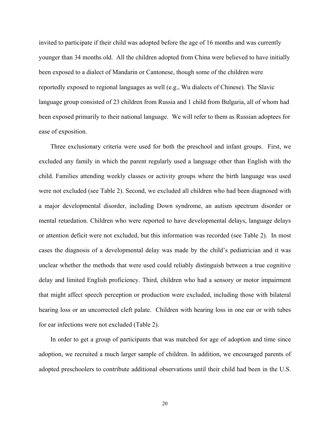invited to participate if their child was adopted before the age of 16 months and was currently younger than 34 months old. All the children adopted from China were believed to have initially been exposed to a dialect of Mandarin or Cantonese, though some of the children were reportedly exposed to regional languages as well (e.g., Wu dialects of Chinese). The Slavic language group consisted of 23 children from Russia and 1 child from Bulgaria, all of whom had been exposed primarily to their national language. We will refer to them as Russian adoptees for ease of exposition.

Three exclusionary criteria were used for both the preschool and infant groups. First, we excluded any family in which the parent regularly used a language other than English with the child. Families attending weekly classes or activity groups where the birth language was used were not excluded (see Table 2). Second, we excluded all children who had been diagnosed with a major developmental disorder, including Down syndrome, an autism spectrum disorder or mental retardation. Children who were reported to have developmental delays, language delays or attention deficit were not excluded, but this information was recorded (see Table 2). In most cases the diagnosis of a developmental delay was made by the child's pediatrician and it was unclear whether the methods that were used could reliably distinguish between a true cognitive delay and limited English proficiency. Third, children who had a sensory or motor impairment that might affect speech perception or production were excluded, including those with bilateral hearing loss or an uncorrected cleft palate. Children with hearing loss in one ear or with tubes for ear infections were not excluded (Table 2).

In order to get a group of participants that was matched for age of adoption and time since adoption, we recruited a much larger sample of children. In addition, we encouraged parents of adopted preschoolers to contribute additional observations until their child had been in the U.S.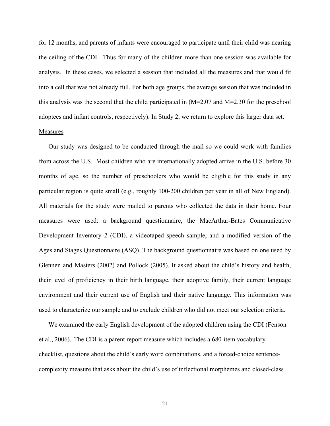for 12 months, and parents of infants were encouraged to participate until their child was nearing the ceiling of the CDI. Thus for many of the children more than one session was available for analysis. In these cases, we selected a session that included all the measures and that would fit into a cell that was not already full. For both age groups, the average session that was included in this analysis was the second that the child participated in  $(M=2.07$  and  $M=2.30$  for the preschool adoptees and infant controls, respectively). In Study 2, we return to explore this larger data set.

#### Measures

Our study was designed to be conducted through the mail so we could work with families from across the U.S. Most children who are internationally adopted arrive in the U.S. before 30 months of age, so the number of preschoolers who would be eligible for this study in any particular region is quite small (e.g., roughly 100-200 children per year in all of New England). All materials for the study were mailed to parents who collected the data in their home. Four measures were used: a background questionnaire, the MacArthur-Bates Communicative Development Inventory 2 (CDI), a videotaped speech sample, and a modified version of the Ages and Stages Questionnaire (ASQ). The background questionnaire was based on one used by Glennen and Masters (2002) and Pollock (2005). It asked about the child's history and health, their level of proficiency in their birth language, their adoptive family, their current language environment and their current use of English and their native language. This information was used to characterize our sample and to exclude children who did not meet our selection criteria.

We examined the early English development of the adopted children using the CDI (Fenson et al., 2006). The CDI is a parent report measure which includes a 680-item vocabulary checklist, questions about the child's early word combinations, and a forced-choice sentencecomplexity measure that asks about the child's use of inflectional morphemes and closed-class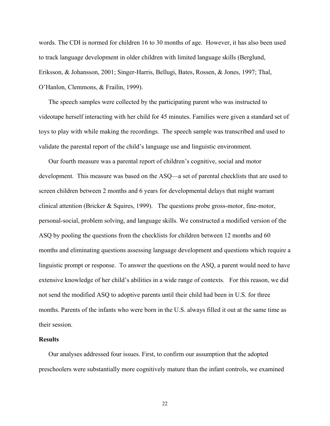words. The CDI is normed for children 16 to 30 months of age. However, it has also been used to track language development in older children with limited language skills (Berglund, Eriksson, & Johansson, 2001; Singer-Harris, Bellugi, Bates, Rossen, & Jones, 1997; Thal, O'Hanlon, Clemmons, & Frailin, 1999).

The speech samples were collected by the participating parent who was instructed to videotape herself interacting with her child for 45 minutes. Families were given a standard set of toys to play with while making the recordings. The speech sample was transcribed and used to validate the parental report of the child's language use and linguistic environment.

Our fourth measure was a parental report of children's cognitive, social and motor development. This measure was based on the ASQ—a set of parental checklists that are used to screen children between 2 months and 6 years for developmental delays that might warrant clinical attention (Bricker & Squires, 1999). The questions probe gross-motor, fine-motor, personal-social, problem solving, and language skills. We constructed a modified version of the ASQ by pooling the questions from the checklists for children between 12 months and 60 months and eliminating questions assessing language development and questions which require a linguistic prompt or response. To answer the questions on the ASQ, a parent would need to have extensive knowledge of her child's abilities in a wide range of contexts. For this reason, we did not send the modified ASQ to adoptive parents until their child had been in U.S. for three months. Parents of the infants who were born in the U.S. always filled it out at the same time as their session.

### **Results**

Our analyses addressed four issues. First, to confirm our assumption that the adopted preschoolers were substantially more cognitively mature than the infant controls, we examined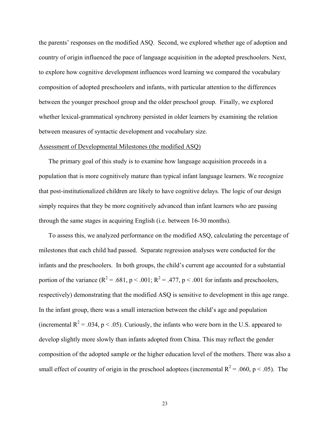the parents' responses on the modified ASQ. Second, we explored whether age of adoption and country of origin influenced the pace of language acquisition in the adopted preschoolers. Next, to explore how cognitive development influences word learning we compared the vocabulary composition of adopted preschoolers and infants, with particular attention to the differences between the younger preschool group and the older preschool group. Finally, we explored whether lexical-grammatical synchrony persisted in older learners by examining the relation between measures of syntactic development and vocabulary size.

#### Assessment of Developmental Milestones (the modified ASQ)

The primary goal of this study is to examine how language acquisition proceeds in a population that is more cognitively mature than typical infant language learners. We recognize that post-institutionalized children are likely to have cognitive delays. The logic of our design simply requires that they be more cognitively advanced than infant learners who are passing through the same stages in acquiring English (i.e. between 16-30 months).

To assess this, we analyzed performance on the modified ASQ, calculating the percentage of milestones that each child had passed. Separate regression analyses were conducted for the infants and the preschoolers. In both groups, the child's current age accounted for a substantial portion of the variance ( $R^2 = .681$ ,  $p < .001$ ;  $R^2 = .477$ ,  $p < .001$  for infants and preschoolers, respectively) demonstrating that the modified ASQ is sensitive to development in this age range. In the infant group, there was a small interaction between the child's age and population (incremental  $R^2 = .034$ , p < .05). Curiously, the infants who were born in the U.S. appeared to develop slightly more slowly than infants adopted from China. This may reflect the gender composition of the adopted sample or the higher education level of the mothers. There was also a small effect of country of origin in the preschool adoptees (incremental  $R^2 = .060$ , p < .05). The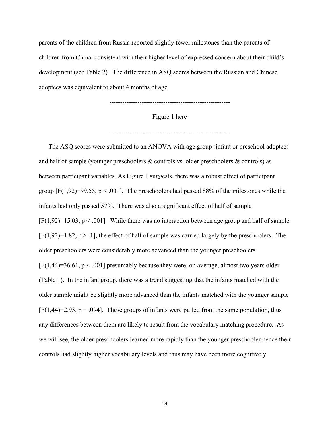parents of the children from Russia reported slightly fewer milestones than the parents of children from China, consistent with their higher level of expressed concern about their child's development (see Table 2). The difference in ASQ scores between the Russian and Chinese adoptees was equivalent to about 4 months of age.

--------------------------------------------------------

Figure 1 here

--------------------------------------------------------

The ASQ scores were submitted to an ANOVA with age group (infant or preschool adoptee) and half of sample (younger preschoolers & controls vs. older preschoolers & controls) as between participant variables. As Figure 1 suggests, there was a robust effect of participant group  $[F(1,92)=99.55, p < .001]$ . The preschoolers had passed 88% of the milestones while the infants had only passed 57%. There was also a significant effect of half of sample  $[F(1,92)=15.03, p < .001]$ . While there was no interaction between age group and half of sample  $[F(1,92)=1.82, p > .1]$ , the effect of half of sample was carried largely by the preschoolers. The older preschoolers were considerably more advanced than the younger preschoolers  $[F(1,44)=36.61, p < .001]$  presumably because they were, on average, almost two years older (Table 1). In the infant group, there was a trend suggesting that the infants matched with the older sample might be slightly more advanced than the infants matched with the younger sample  $[F(1,44)=2.93, p = .094]$ . These groups of infants were pulled from the same population, thus any differences between them are likely to result from the vocabulary matching procedure. As we will see, the older preschoolers learned more rapidly than the younger preschooler hence their controls had slightly higher vocabulary levels and thus may have been more cognitively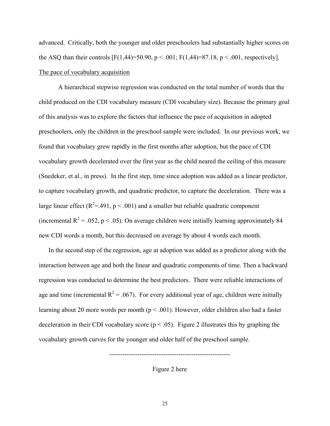advanced. Critically, both the younger and older preschoolers had substantially higher scores on the ASQ than their controls  $[F(1,44)=50.90, p < .001; F(1,44)=87.18, p < .001$ , respectively]. The pace of vocabulary acquisition

A hierarchical stepwise regression was conducted on the total number of words that the child produced on the CDI vocabulary measure (CDI vocabulary size). Because the primary goal of this analysis was to explore the factors that influence the pace of acquisition in adopted preschoolers, only the children in the preschool sample were included. In our previous work, we found that vocabulary grew rapidly in the first months after adoption, but the pace of CDI vocabulary growth decelerated over the first year as the child neared the ceiling of this measure (Snedeker, et al., in press). In the first step, time since adoption was added as a linear predictor, to capture vocabulary growth, and quadratic predictor, to capture the deceleration. There was a large linear effect ( $R^2 = .491$ ,  $p < .001$ ) and a smaller but reliable quadratic component (incremental  $R^2 = 0.052$ , p < 0.05). On average children were initially learning approximately 84 new CDI words a month, but this decreased on average by about 4 words each month.

In the second step of the regression, age at adoption was added as a predictor along with the interaction between age and both the linear and quadratic components of time. Then a backward regression was conducted to determine the best predictors. There were reliable interactions of age and time (incremental  $R^2 = .067$ ). For every additional year of age, children were initially learning about 20 more words per month ( $p < .001$ ). However, older children also had a faster deceleration in their CDI vocabulary score ( $p < .05$ ). Figure 2 illustrates this by graphing the vocabulary growth curves for the younger and older half of the preschool sample.

Figure 2 here

--------------------------------------------------------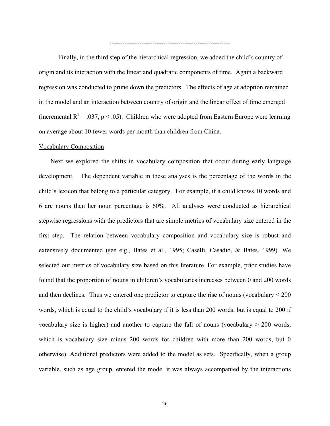--------------------------------------------------------

Finally, in the third step of the hierarchical regression, we added the child's country of origin and its interaction with the linear and quadratic components of time. Again a backward regression was conducted to prune down the predictors. The effects of age at adoption remained in the model and an interaction between country of origin and the linear effect of time emerged (incremental  $R^2 = .037$ , p < .05). Children who were adopted from Eastern Europe were learning on average about 10 fewer words per month than children from China.

#### Vocabulary Composition

Next we explored the shifts in vocabulary composition that occur during early language development. The dependent variable in these analyses is the percentage of the words in the child's lexicon that belong to a particular category. For example, if a child knows 10 words and 6 are nouns then her noun percentage is 60%. All analyses were conducted as hierarchical stepwise regressions with the predictors that are simple metrics of vocabulary size entered in the first step. The relation between vocabulary composition and vocabulary size is robust and extensively documented (see e.g., Bates et al., 1995; Caselli, Casadio, & Bates, 1999). We selected our metrics of vocabulary size based on this literature. For example, prior studies have found that the proportion of nouns in children's vocabularies increases between 0 and 200 words and then declines. Thus we entered one predictor to capture the rise of nouns (vocabulary  $\leq 200$ ) words, which is equal to the child's vocabulary if it is less than 200 words, but is equal to 200 if vocabulary size is higher) and another to capture the fall of nouns (vocabulary  $> 200$  words, which is vocabulary size minus 200 words for children with more than 200 words, but 0 otherwise). Additional predictors were added to the model as sets. Specifically, when a group variable, such as age group, entered the model it was always accompanied by the interactions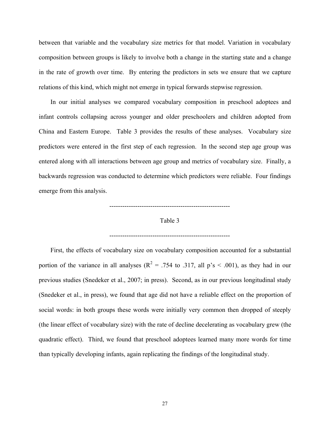between that variable and the vocabulary size metrics for that model. Variation in vocabulary composition between groups is likely to involve both a change in the starting state and a change in the rate of growth over time. By entering the predictors in sets we ensure that we capture relations of this kind, which might not emerge in typical forwards stepwise regression.

In our initial analyses we compared vocabulary composition in preschool adoptees and infant controls collapsing across younger and older preschoolers and children adopted from China and Eastern Europe. Table 3 provides the results of these analyses. Vocabulary size predictors were entered in the first step of each regression. In the second step age group was entered along with all interactions between age group and metrics of vocabulary size. Finally, a backwards regression was conducted to determine which predictors were reliable. Four findings emerge from this analysis.



--------------------------------------------------------

First, the effects of vocabulary size on vocabulary composition accounted for a substantial portion of the variance in all analyses ( $R^2 = 0.754$  to 0.317, all p's < 0.001), as they had in our previous studies (Snedeker et al., 2007; in press). Second, as in our previous longitudinal study (Snedeker et al., in press), we found that age did not have a reliable effect on the proportion of social words: in both groups these words were initially very common then dropped of steeply (the linear effect of vocabulary size) with the rate of decline decelerating as vocabulary grew (the quadratic effect). Third, we found that preschool adoptees learned many more words for time than typically developing infants, again replicating the findings of the longitudinal study.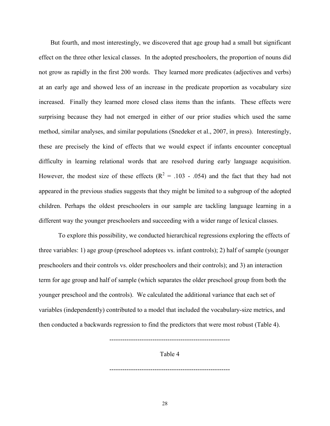But fourth, and most interestingly, we discovered that age group had a small but significant effect on the three other lexical classes. In the adopted preschoolers, the proportion of nouns did not grow as rapidly in the first 200 words. They learned more predicates (adjectives and verbs) at an early age and showed less of an increase in the predicate proportion as vocabulary size increased. Finally they learned more closed class items than the infants. These effects were surprising because they had not emerged in either of our prior studies which used the same method, similar analyses, and similar populations (Snedeker et al., 2007, in press). Interestingly, these are precisely the kind of effects that we would expect if infants encounter conceptual difficulty in learning relational words that are resolved during early language acquisition. However, the modest size of these effects ( $R^2 = .103 - .054$ ) and the fact that they had not appeared in the previous studies suggests that they might be limited to a subgroup of the adopted children. Perhaps the oldest preschoolers in our sample are tackling language learning in a different way the younger preschoolers and succeeding with a wider range of lexical classes.

 To explore this possibility, we conducted hierarchical regressions exploring the effects of three variables: 1) age group (preschool adoptees vs. infant controls); 2) half of sample (younger preschoolers and their controls vs. older preschoolers and their controls); and 3) an interaction term for age group and half of sample (which separates the older preschool group from both the younger preschool and the controls). We calculated the additional variance that each set of variables (independently) contributed to a model that included the vocabulary-size metrics, and then conducted a backwards regression to find the predictors that were most robust (Table 4).

Table 4

--------------------------------------------------------

--------------------------------------------------------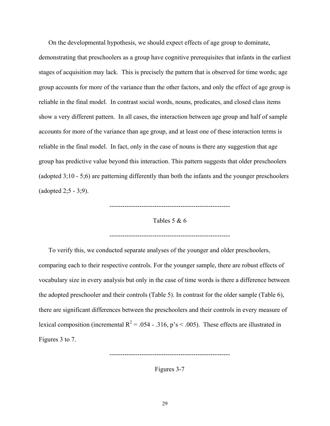On the developmental hypothesis, we should expect effects of age group to dominate, demonstrating that preschoolers as a group have cognitive prerequisites that infants in the earliest stages of acquisition may lack. This is precisely the pattern that is observed for time words; age group accounts for more of the variance than the other factors, and only the effect of age group is reliable in the final model. In contrast social words, nouns, predicates, and closed class items show a very different pattern. In all cases, the interaction between age group and half of sample accounts for more of the variance than age group, and at least one of these interaction terms is reliable in the final model. In fact, only in the case of nouns is there any suggestion that age group has predictive value beyond this interaction. This pattern suggests that older preschoolers (adopted 3;10 - 5;6) are patterning differently than both the infants and the younger preschoolers (adopted 2;5 - 3;9).

--------------------------------------------------------

Tables 5 & 6

--------------------------------------------------------

To verify this, we conducted separate analyses of the younger and older preschoolers, comparing each to their respective controls. For the younger sample, there are robust effects of vocabulary size in every analysis but only in the case of time words is there a difference between the adopted preschooler and their controls (Table 5). In contrast for the older sample (Table 6), there are significant differences between the preschoolers and their controls in every measure of lexical composition (incremental  $R^2 = .054 - .316$ , p's < .005). These effects are illustrated in Figures 3 to 7.

Figures 3-7

--------------------------------------------------------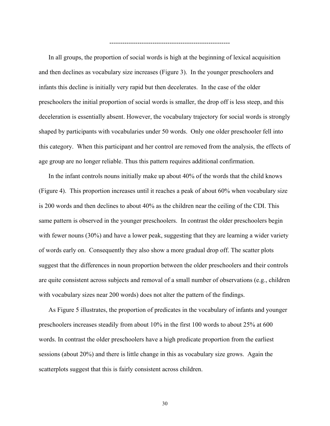--------------------------------------------------------

In all groups, the proportion of social words is high at the beginning of lexical acquisition and then declines as vocabulary size increases (Figure 3). In the younger preschoolers and infants this decline is initially very rapid but then decelerates. In the case of the older preschoolers the initial proportion of social words is smaller, the drop off is less steep, and this deceleration is essentially absent. However, the vocabulary trajectory for social words is strongly shaped by participants with vocabularies under 50 words. Only one older preschooler fell into this category. When this participant and her control are removed from the analysis, the effects of age group are no longer reliable. Thus this pattern requires additional confirmation.

In the infant controls nouns initially make up about 40% of the words that the child knows (Figure 4). This proportion increases until it reaches a peak of about 60% when vocabulary size is 200 words and then declines to about 40% as the children near the ceiling of the CDI. This same pattern is observed in the younger preschoolers. In contrast the older preschoolers begin with fewer nouns (30%) and have a lower peak, suggesting that they are learning a wider variety of words early on. Consequently they also show a more gradual drop off. The scatter plots suggest that the differences in noun proportion between the older preschoolers and their controls are quite consistent across subjects and removal of a small number of observations (e.g., children with vocabulary sizes near 200 words) does not alter the pattern of the findings.

As Figure 5 illustrates, the proportion of predicates in the vocabulary of infants and younger preschoolers increases steadily from about 10% in the first 100 words to about 25% at 600 words. In contrast the older preschoolers have a high predicate proportion from the earliest sessions (about 20%) and there is little change in this as vocabulary size grows. Again the scatterplots suggest that this is fairly consistent across children.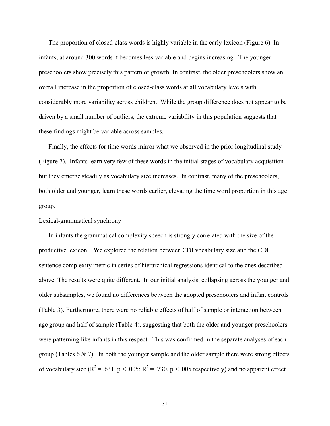The proportion of closed-class words is highly variable in the early lexicon (Figure 6). In infants, at around 300 words it becomes less variable and begins increasing. The younger preschoolers show precisely this pattern of growth. In contrast, the older preschoolers show an overall increase in the proportion of closed-class words at all vocabulary levels with considerably more variability across children. While the group difference does not appear to be driven by a small number of outliers, the extreme variability in this population suggests that these findings might be variable across samples.

Finally, the effects for time words mirror what we observed in the prior longitudinal study (Figure 7). Infants learn very few of these words in the initial stages of vocabulary acquisition but they emerge steadily as vocabulary size increases. In contrast, many of the preschoolers, both older and younger, learn these words earlier, elevating the time word proportion in this age group.

### Lexical-grammatical synchrony

In infants the grammatical complexity speech is strongly correlated with the size of the productive lexicon. We explored the relation between CDI vocabulary size and the CDI sentence complexity metric in series of hierarchical regressions identical to the ones described above. The results were quite different. In our initial analysis, collapsing across the younger and older subsamples, we found no differences between the adopted preschoolers and infant controls (Table 3). Furthermore, there were no reliable effects of half of sample or interaction between age group and half of sample (Table 4), suggesting that both the older and younger preschoolers were patterning like infants in this respect. This was confirmed in the separate analyses of each group (Tables  $6 \& 7$ ). In both the younger sample and the older sample there were strong effects of vocabulary size ( $R^2 = .631$ ,  $p < .005$ ;  $R^2 = .730$ ,  $p < .005$  respectively) and no apparent effect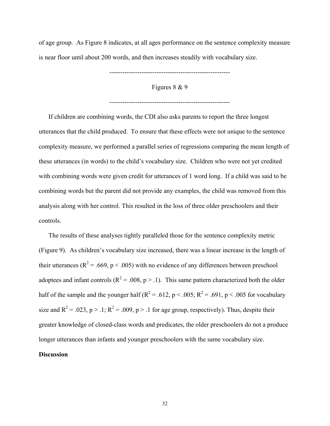of age group. As Figure 8 indicates, at all ages performance on the sentence complexity measure is near floor until about 200 words, and then increases steadily with vocabulary size.

--------------------------------------------------------

Figures 8 & 9

--------------------------------------------------------

If children are combining words, the CDI also asks parents to report the three longest utterances that the child produced. To ensure that these effects were not unique to the sentence complexity measure, we performed a parallel series of regressions comparing the mean length of these utterances (in words) to the child's vocabulary size. Children who were not yet credited with combining words were given credit for utterances of 1 word long. If a child was said to be combining words but the parent did not provide any examples, the child was removed from this analysis along with her control. This resulted in the loss of three older preschoolers and their controls.

The results of these analyses tightly paralleled those for the sentence complexity metric (Figure 9). As children's vocabulary size increased, there was a linear increase in the length of their utterances ( $R^2$  = .669, p < .005) with no evidence of any differences between preschool adoptees and infant controls ( $R^2 = .008$ ,  $p > .1$ ). This same pattern characterized both the older half of the sample and the younger half ( $R^2 = .612$ ,  $p < .005$ ;  $R^2 = .691$ ,  $p < .005$  for vocabulary size and  $R^2 = .023$ ,  $p > .1$ ;  $R^2 = .009$ ,  $p > .1$  for age group, respectively). Thus, despite their greater knowledge of closed-class words and predicates, the older preschoolers do not a produce longer utterances than infants and younger preschoolers with the same vocabulary size.

# **Discussion**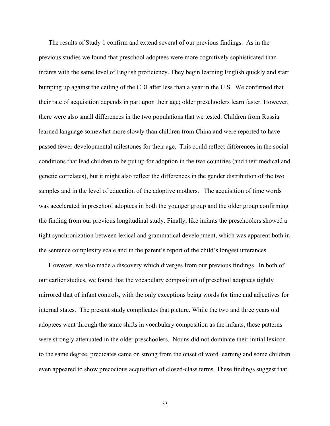The results of Study 1 confirm and extend several of our previous findings. As in the previous studies we found that preschool adoptees were more cognitively sophisticated than infants with the same level of English proficiency. They begin learning English quickly and start bumping up against the ceiling of the CDI after less than a year in the U.S. We confirmed that their rate of acquisition depends in part upon their age; older preschoolers learn faster. However, there were also small differences in the two populations that we tested. Children from Russia learned language somewhat more slowly than children from China and were reported to have passed fewer developmental milestones for their age. This could reflect differences in the social conditions that lead children to be put up for adoption in the two countries (and their medical and genetic correlates), but it might also reflect the differences in the gender distribution of the two samples and in the level of education of the adoptive mothers. The acquisition of time words was accelerated in preschool adoptees in both the younger group and the older group confirming the finding from our previous longitudinal study. Finally, like infants the preschoolers showed a tight synchronization between lexical and grammatical development, which was apparent both in the sentence complexity scale and in the parent's report of the child's longest utterances.

However, we also made a discovery which diverges from our previous findings. In both of our earlier studies, we found that the vocabulary composition of preschool adoptees tightly mirrored that of infant controls, with the only exceptions being words for time and adjectives for internal states. The present study complicates that picture. While the two and three years old adoptees went through the same shifts in vocabulary composition as the infants, these patterns were strongly attenuated in the older preschoolers. Nouns did not dominate their initial lexicon to the same degree, predicates came on strong from the onset of word learning and some children even appeared to show precocious acquisition of closed-class terms. These findings suggest that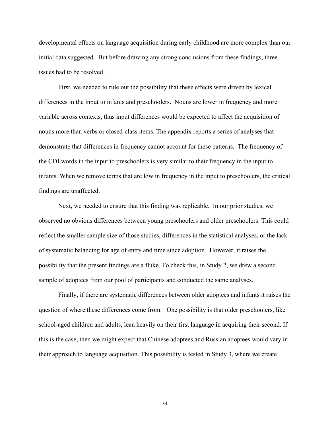developmental effects on language acquisition during early childhood are more complex than our initial data suggested. But before drawing any strong conclusions from these findings, three issues had to be resolved.

First, we needed to rule out the possibility that these effects were driven by lexical differences in the input to infants and preschoolers. Nouns are lower in frequency and more variable across contexts, thus input differences would be expected to affect the acquisition of nouns more than verbs or closed-class items. The appendix reports a series of analyses that demonstrate that differences in frequency cannot account for these patterns. The frequency of the CDI words in the input to preschoolers is very similar to their frequency in the input to infants. When we remove terms that are low in frequency in the input to preschoolers, the critical findings are unaffected.

Next, we needed to ensure that this finding was replicable. In our prior studies, we observed no obvious differences between young preschoolers and older preschoolers. This could reflect the smaller sample size of those studies, differences in the statistical analyses, or the lack of systematic balancing for age of entry and time since adoption. However, it raises the possibility that the present findings are a fluke. To check this, in Study 2, we drew a second sample of adoptees from our pool of participants and conducted the same analyses.

Finally, if there are systematic differences between older adoptees and infants it raises the question of where these differences come from. One possibility is that older preschoolers, like school-aged children and adults, lean heavily on their first language in acquiring their second. If this is the case, then we might expect that Chinese adoptees and Russian adoptees would vary in their approach to language acquisition. This possibility is tested in Study 3, where we create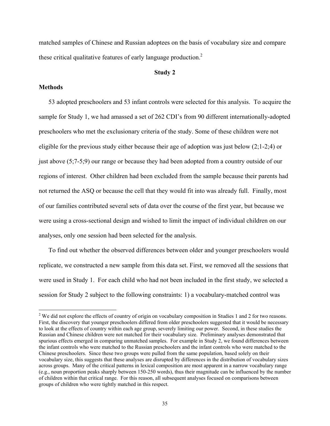matched samples of Chinese and Russian adoptees on the basis of vocabulary size and compare these critical qualitative features of early language production.<sup>2</sup>

# **Study 2**

# **Methods**

 $\overline{a}$ 

53 adopted preschoolers and 53 infant controls were selected for this analysis. To acquire the sample for Study 1, we had amassed a set of 262 CDI's from 90 different internationally-adopted preschoolers who met the exclusionary criteria of the study. Some of these children were not eligible for the previous study either because their age of adoption was just below (2;1-2;4) or just above (5;7-5;9) our range or because they had been adopted from a country outside of our regions of interest. Other children had been excluded from the sample because their parents had not returned the ASQ or because the cell that they would fit into was already full. Finally, most of our families contributed several sets of data over the course of the first year, but because we were using a cross-sectional design and wished to limit the impact of individual children on our analyses, only one session had been selected for the analysis.

To find out whether the observed differences between older and younger preschoolers would replicate, we constructed a new sample from this data set. First, we removed all the sessions that were used in Study 1. For each child who had not been included in the first study, we selected a session for Study 2 subject to the following constraints: 1) a vocabulary-matched control was

<sup>&</sup>lt;sup>2</sup> We did not explore the effects of country of origin on vocabulary composition in Studies 1 and 2 for two reasons. First, the discovery that younger preschoolers differed from older preschoolers suggested that it would be necessary to look at the effects of country within each age group, severely limiting our power. Second, in these studies the Russian and Chinese children were not matched for their vocabulary size. Preliminary analyses demonstrated that spurious effects emerged in comparing unmatched samples. For example in Study 2, we found differences between the infant controls who were matched to the Russian preschoolers and the infant controls who were matched to the Chinese preschoolers. Since these two groups were pulled from the same population, based solely on their vocabulary size, this suggests that these analyses are disrupted by differences in the distribution of vocabulary sizes across groups. Many of the critical patterns in lexical composition are most apparent in a narrow vocabulary range (e.g., noun proportion peaks sharply between 150-250 words), thus their magnitude can be influenced by the number of children within that critical range. For this reason, all subsequent analyses focused on comparisons between groups of children who were tightly matched in this respect.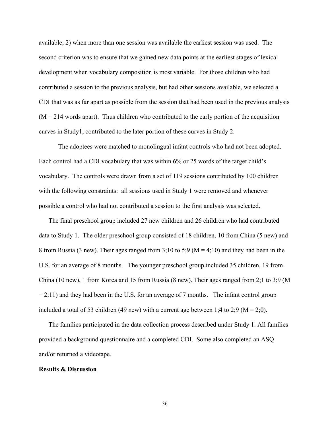available; 2) when more than one session was available the earliest session was used. The second criterion was to ensure that we gained new data points at the earliest stages of lexical development when vocabulary composition is most variable. For those children who had contributed a session to the previous analysis, but had other sessions available, we selected a CDI that was as far apart as possible from the session that had been used in the previous analysis  $(M = 214$  words apart). Thus children who contributed to the early portion of the acquisition curves in Study1, contributed to the later portion of these curves in Study 2.

The adoptees were matched to monolingual infant controls who had not been adopted. Each control had a CDI vocabulary that was within 6% or 25 words of the target child's vocabulary. The controls were drawn from a set of 119 sessions contributed by 100 children with the following constraints: all sessions used in Study 1 were removed and whenever possible a control who had not contributed a session to the first analysis was selected.

The final preschool group included 27 new children and 26 children who had contributed data to Study 1. The older preschool group consisted of 18 children, 10 from China (5 new) and 8 from Russia (3 new). Their ages ranged from  $3;10$  to  $5;9$  (M = 4;10) and they had been in the U.S. for an average of 8 months. The younger preschool group included 35 children, 19 from China (10 new), 1 from Korea and 15 from Russia (8 new). Their ages ranged from 2;1 to 3;9 (M  $= 2;11$ ) and they had been in the U.S. for an average of 7 months. The infant control group included a total of 53 children (49 new) with a current age between 1;4 to 2;9 ( $M = 2;0$ ).

The families participated in the data collection process described under Study 1. All families provided a background questionnaire and a completed CDI. Some also completed an ASQ and/or returned a videotape.

#### **Results & Discussion**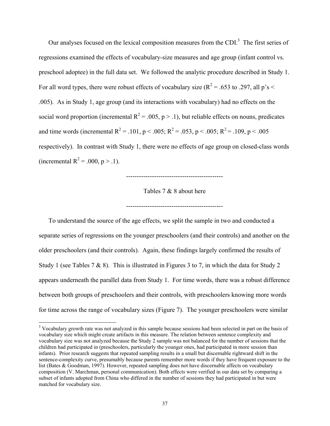Our analyses focused on the lexical composition measures from the CDI $^3$ . The first series of regressions examined the effects of vocabulary-size measures and age group (infant control vs. preschool adoptee) in the full data set. We followed the analytic procedure described in Study 1. For all word types, there were robust effects of vocabulary size ( $R^2$  = .653 to .297, all p's < .005). As in Study 1, age group (and its interactions with vocabulary) had no effects on the social word proportion (incremental  $R^2 = .005$ , p > .1), but reliable effects on nouns, predicates and time words (incremental R<sup>2</sup> = .101, p < .005; R<sup>2</sup> = .053, p < .005; R<sup>2</sup> = .109, p < .005 respectively). In contrast with Study 1, there were no effects of age group on closed-class words (incremental  $R^2 = .000$ ,  $p > .1$ ).

---------------------------------------------

Tables 7 & 8 about here

---------------------------------------------

To understand the source of the age effects, we split the sample in two and conducted a separate series of regressions on the younger preschoolers (and their controls) and another on the older preschoolers (and their controls). Again, these findings largely confirmed the results of Study 1 (see Tables  $7 \& 8$ ). This is illustrated in Figures 3 to 7, in which the data for Study 2 appears underneath the parallel data from Study 1. For time words, there was a robust difference between both groups of preschoolers and their controls, with preschoolers knowing more words for time across the range of vocabulary sizes (Figure 7). The younger preschoolers were similar

 $\overline{a}$ 

<sup>&</sup>lt;sup>3</sup> Vocabulary growth rate was not analyzed in this sample because sessions had been selected in part on the basis of vocabulary size which might create artifacts in this measure. The relation between sentence complexity and vocabulary size was not analyzed because the Study 2 sample was not balanced for the number of sessions that the children had participated in (preschoolers, particularly the younger ones, had participated in more session than infants). Prior research suggests that repeated sampling results in a small but discernable rightward shift in the sentence-complexity curve, presumably because parents remember more words if they have frequent exposure to the list (Bates & Goodman, 1997). However, repeated sampling does not have discernable affects on vocabulary composition (V. Marchman, personal communication). Both effects were verified in our data set by comparing a subset of infants adopted from China who differed in the number of sessions they had participated in but were matched for vocabulary size.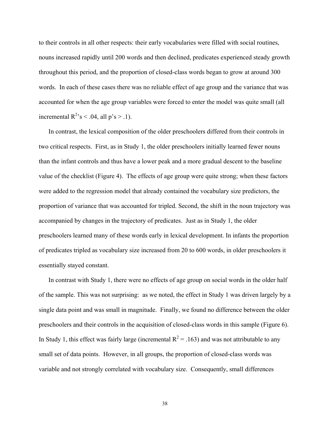to their controls in all other respects: their early vocabularies were filled with social routines, nouns increased rapidly until 200 words and then declined, predicates experienced steady growth throughout this period, and the proportion of closed-class words began to grow at around 300 words. In each of these cases there was no reliable effect of age group and the variance that was accounted for when the age group variables were forced to enter the model was quite small (all incremental  $R^2$ 's < .04, all p's > .1).

In contrast, the lexical composition of the older preschoolers differed from their controls in two critical respects. First, as in Study 1, the older preschoolers initially learned fewer nouns than the infant controls and thus have a lower peak and a more gradual descent to the baseline value of the checklist (Figure 4). The effects of age group were quite strong; when these factors were added to the regression model that already contained the vocabulary size predictors, the proportion of variance that was accounted for tripled. Second, the shift in the noun trajectory was accompanied by changes in the trajectory of predicates. Just as in Study 1, the older preschoolers learned many of these words early in lexical development. In infants the proportion of predicates tripled as vocabulary size increased from 20 to 600 words, in older preschoolers it essentially stayed constant.

In contrast with Study 1, there were no effects of age group on social words in the older half of the sample. This was not surprising: as we noted, the effect in Study 1 was driven largely by a single data point and was small in magnitude. Finally, we found no difference between the older preschoolers and their controls in the acquisition of closed-class words in this sample (Figure 6). In Study 1, this effect was fairly large (incremental  $R^2 = .163$ ) and was not attributable to any small set of data points. However, in all groups, the proportion of closed-class words was variable and not strongly correlated with vocabulary size. Consequently, small differences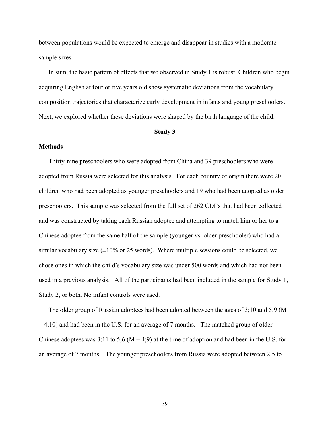between populations would be expected to emerge and disappear in studies with a moderate sample sizes.

In sum, the basic pattern of effects that we observed in Study 1 is robust. Children who begin acquiring English at four or five years old show systematic deviations from the vocabulary composition trajectories that characterize early development in infants and young preschoolers. Next, we explored whether these deviations were shaped by the birth language of the child.

## **Study 3**

## **Methods**

Thirty-nine preschoolers who were adopted from China and 39 preschoolers who were adopted from Russia were selected for this analysis. For each country of origin there were 20 children who had been adopted as younger preschoolers and 19 who had been adopted as older preschoolers. This sample was selected from the full set of 262 CDI's that had been collected and was constructed by taking each Russian adoptee and attempting to match him or her to a Chinese adoptee from the same half of the sample (younger vs. older preschooler) who had a similar vocabulary size  $(\pm 10\%$  or 25 words). Where multiple sessions could be selected, we chose ones in which the child's vocabulary size was under 500 words and which had not been used in a previous analysis. All of the participants had been included in the sample for Study 1, Study 2, or both. No infant controls were used.

The older group of Russian adoptees had been adopted between the ages of 3;10 and 5;9 (M  $= 4;10$ ) and had been in the U.S. for an average of 7 months. The matched group of older Chinese adoptees was  $3;11$  to  $5;6$  (M = 4;9) at the time of adoption and had been in the U.S. for an average of 7 months. The younger preschoolers from Russia were adopted between 2;5 to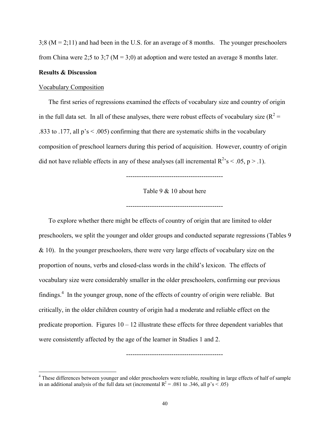$3;8 (M = 2;11)$  and had been in the U.S. for an average of 8 months. The younger preschoolers from China were 2;5 to 3;7 ( $M = 3(0)$ ) at adoption and were tested an average 8 months later.

# **Results & Discussion**

1

## Vocabulary Composition

The first series of regressions examined the effects of vocabulary size and country of origin in the full data set. In all of these analyses, there were robust effects of vocabulary size  $(R^2 =$ .833 to .177, all  $p's < .005$ ) confirming that there are systematic shifts in the vocabulary composition of preschool learners during this period of acquisition. However, country of origin did not have reliable effects in any of these analyses (all incremental  $R^2$ 's < .05, p > .1).

---------------------------------------------

Table 9 & 10 about here

---------------------------------------------

To explore whether there might be effects of country of origin that are limited to older preschoolers, we split the younger and older groups and conducted separate regressions (Tables 9  $& 10$ ). In the younger preschoolers, there were very large effects of vocabulary size on the proportion of nouns, verbs and closed-class words in the child's lexicon. The effects of vocabulary size were considerably smaller in the older preschoolers, confirming our previous findings.<sup>4</sup> In the younger group, none of the effects of country of origin were reliable. But critically, in the older children country of origin had a moderate and reliable effect on the predicate proportion. Figures  $10 - 12$  illustrate these effects for three dependent variables that were consistently affected by the age of the learner in Studies 1 and 2.

<sup>4</sup> These differences between younger and older preschoolers were reliable, resulting in large effects of half of sample in an additional analysis of the full data set (incremental  $R^2 = .081$  to .346, all p's < .05)

---------------------------------------------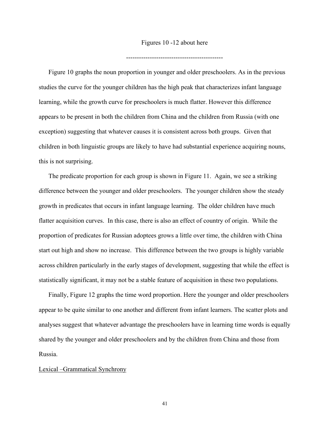Figures 10 -12 about here

---------------------------------------------

Figure 10 graphs the noun proportion in younger and older preschoolers. As in the previous studies the curve for the younger children has the high peak that characterizes infant language learning, while the growth curve for preschoolers is much flatter. However this difference appears to be present in both the children from China and the children from Russia (with one exception) suggesting that whatever causes it is consistent across both groups. Given that children in both linguistic groups are likely to have had substantial experience acquiring nouns, this is not surprising.

The predicate proportion for each group is shown in Figure 11. Again, we see a striking difference between the younger and older preschoolers. The younger children show the steady growth in predicates that occurs in infant language learning. The older children have much flatter acquisition curves. In this case, there is also an effect of country of origin. While the proportion of predicates for Russian adoptees grows a little over time, the children with China start out high and show no increase. This difference between the two groups is highly variable across children particularly in the early stages of development, suggesting that while the effect is statistically significant, it may not be a stable feature of acquisition in these two populations.

Finally, Figure 12 graphs the time word proportion. Here the younger and older preschoolers appear to be quite similar to one another and different from infant learners. The scatter plots and analyses suggest that whatever advantage the preschoolers have in learning time words is equally shared by the younger and older preschoolers and by the children from China and those from Russia.

## Lexical –Grammatical Synchrony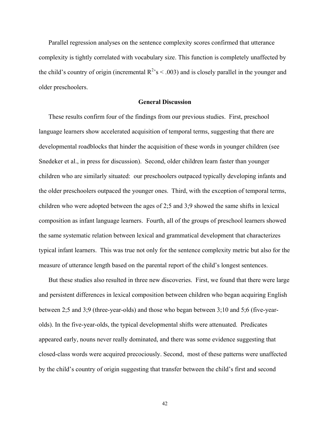Parallel regression analyses on the sentence complexity scores confirmed that utterance complexity is tightly correlated with vocabulary size. This function is completely unaffected by the child's country of origin (incremental  $R^2$ 's < .003) and is closely parallel in the younger and older preschoolers.

# **General Discussion**

These results confirm four of the findings from our previous studies. First, preschool language learners show accelerated acquisition of temporal terms, suggesting that there are developmental roadblocks that hinder the acquisition of these words in younger children (see Snedeker et al., in press for discussion). Second, older children learn faster than younger children who are similarly situated: our preschoolers outpaced typically developing infants and the older preschoolers outpaced the younger ones. Third, with the exception of temporal terms, children who were adopted between the ages of 2;5 and 3;9 showed the same shifts in lexical composition as infant language learners. Fourth, all of the groups of preschool learners showed the same systematic relation between lexical and grammatical development that characterizes typical infant learners. This was true not only for the sentence complexity metric but also for the measure of utterance length based on the parental report of the child's longest sentences.

But these studies also resulted in three new discoveries. First, we found that there were large and persistent differences in lexical composition between children who began acquiring English between 2;5 and 3;9 (three-year-olds) and those who began between 3;10 and 5;6 (five-yearolds). In the five-year-olds, the typical developmental shifts were attenuated. Predicates appeared early, nouns never really dominated, and there was some evidence suggesting that closed-class words were acquired precociously. Second, most of these patterns were unaffected by the child's country of origin suggesting that transfer between the child's first and second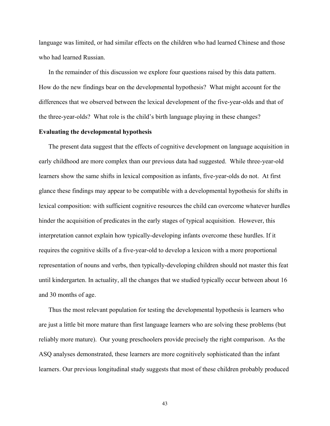language was limited, or had similar effects on the children who had learned Chinese and those who had learned Russian.

In the remainder of this discussion we explore four questions raised by this data pattern. How do the new findings bear on the developmental hypothesis? What might account for the differences that we observed between the lexical development of the five-year-olds and that of the three-year-olds? What role is the child's birth language playing in these changes?

## **Evaluating the developmental hypothesis**

The present data suggest that the effects of cognitive development on language acquisition in early childhood are more complex than our previous data had suggested. While three-year-old learners show the same shifts in lexical composition as infants, five-year-olds do not. At first glance these findings may appear to be compatible with a developmental hypothesis for shifts in lexical composition: with sufficient cognitive resources the child can overcome whatever hurdles hinder the acquisition of predicates in the early stages of typical acquisition. However, this interpretation cannot explain how typically-developing infants overcome these hurdles. If it requires the cognitive skills of a five-year-old to develop a lexicon with a more proportional representation of nouns and verbs, then typically-developing children should not master this feat until kindergarten. In actuality, all the changes that we studied typically occur between about 16 and 30 months of age.

Thus the most relevant population for testing the developmental hypothesis is learners who are just a little bit more mature than first language learners who are solving these problems (but reliably more mature). Our young preschoolers provide precisely the right comparison. As the ASQ analyses demonstrated, these learners are more cognitively sophisticated than the infant learners. Our previous longitudinal study suggests that most of these children probably produced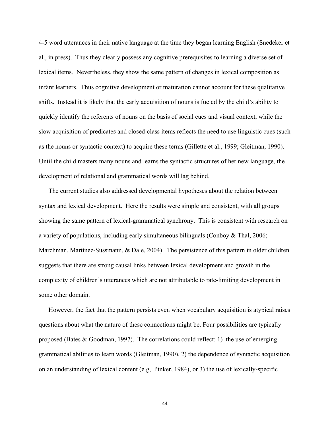4-5 word utterances in their native language at the time they began learning English (Snedeker et al., in press). Thus they clearly possess any cognitive prerequisites to learning a diverse set of lexical items. Nevertheless, they show the same pattern of changes in lexical composition as infant learners. Thus cognitive development or maturation cannot account for these qualitative shifts. Instead it is likely that the early acquisition of nouns is fueled by the child's ability to quickly identify the referents of nouns on the basis of social cues and visual context, while the slow acquisition of predicates and closed-class items reflects the need to use linguistic cues (such as the nouns or syntactic context) to acquire these terms (Gillette et al., 1999; Gleitman, 1990). Until the child masters many nouns and learns the syntactic structures of her new language, the development of relational and grammatical words will lag behind.

The current studies also addressed developmental hypotheses about the relation between syntax and lexical development. Here the results were simple and consistent, with all groups showing the same pattern of lexical-grammatical synchrony. This is consistent with research on a variety of populations, including early simultaneous bilinguals (Conboy & Thal, 2006; Marchman, Martínez-Sussmann, & Dale, 2004). The persistence of this pattern in older children suggests that there are strong causal links between lexical development and growth in the complexity of children's utterances which are not attributable to rate-limiting development in some other domain.

However, the fact that the pattern persists even when vocabulary acquisition is atypical raises questions about what the nature of these connections might be. Four possibilities are typically proposed (Bates & Goodman, 1997). The correlations could reflect: 1) the use of emerging grammatical abilities to learn words (Gleitman, 1990), 2) the dependence of syntactic acquisition on an understanding of lexical content (e.g, Pinker, 1984), or 3) the use of lexically-specific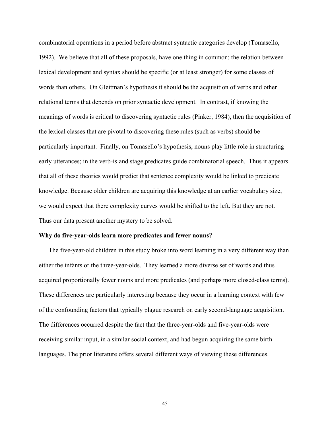combinatorial operations in a period before abstract syntactic categories develop (Tomasello, 1992). We believe that all of these proposals, have one thing in common: the relation between lexical development and syntax should be specific (or at least stronger) for some classes of words than others. On Gleitman's hypothesis it should be the acquisition of verbs and other relational terms that depends on prior syntactic development. In contrast, if knowing the meanings of words is critical to discovering syntactic rules (Pinker, 1984), then the acquisition of the lexical classes that are pivotal to discovering these rules (such as verbs) should be particularly important. Finally, on Tomasello's hypothesis, nouns play little role in structuring early utterances; in the verb-island stage,predicates guide combinatorial speech. Thus it appears that all of these theories would predict that sentence complexity would be linked to predicate knowledge. Because older children are acquiring this knowledge at an earlier vocabulary size, we would expect that there complexity curves would be shifted to the left. But they are not. Thus our data present another mystery to be solved.

## **Why do five-year-olds learn more predicates and fewer nouns?**

The five-year-old children in this study broke into word learning in a very different way than either the infants or the three-year-olds. They learned a more diverse set of words and thus acquired proportionally fewer nouns and more predicates (and perhaps more closed-class terms). These differences are particularly interesting because they occur in a learning context with few of the confounding factors that typically plague research on early second-language acquisition. The differences occurred despite the fact that the three-year-olds and five-year-olds were receiving similar input, in a similar social context, and had begun acquiring the same birth languages. The prior literature offers several different ways of viewing these differences.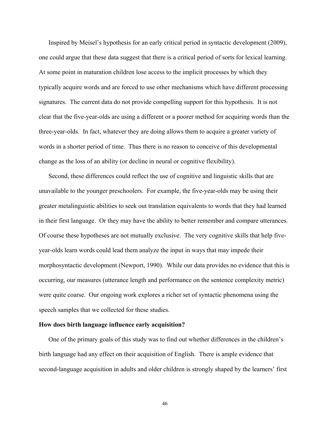Inspired by Meisel's hypothesis for an early critical period in syntactic development (2009), one could argue that these data suggest that there is a critical period of sorts for lexical learning. At some point in maturation children lose access to the implicit processes by which they typically acquire words and are forced to use other mechanisms which have different processing signatures. The current data do not provide compelling support for this hypothesis. It is not clear that the five-year-olds are using a different or a poorer method for acquiring words than the three-year-olds. In fact, whatever they are doing allows them to acquire a greater variety of words in a shorter period of time. Thus there is no reason to conceive of this developmental change as the loss of an ability (or decline in neural or cognitive flexibility).

Second, these differences could reflect the use of cognitive and linguistic skills that are unavailable to the younger preschoolers. For example, the five-year-olds may be using their greater metalinguistic abilities to seek out translation equivalents to words that they had learned in their first language. Or they may have the ability to better remember and compare utterances. Of course these hypotheses are not mutually exclusive. The very cognitive skills that help fiveyear-olds learn words could lead them analyze the input in ways that may impede their morphosyntactic development (Newport, 1990). While our data provides no evidence that this is occurring, our measures (utterance length and performance on the sentence complexity metric) were quite coarse. Our ongoing work explores a richer set of syntactic phenomena using the speech samples that we collected for these studies.

# **How does birth language influence early acquisition?**

One of the primary goals of this study was to find out whether differences in the children's birth language had any effect on their acquisition of English. There is ample evidence that second-language acquisition in adults and older children is strongly shaped by the learners' first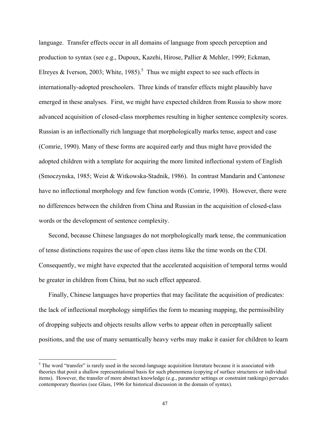language. Transfer effects occur in all domains of language from speech perception and production to syntax (see e.g., Dupoux, Kazehi, Hirose, Pallier & Mehler, 1999; Eckman, Elreyes & Iverson, 2003; White, 1985).<sup>5</sup> Thus we might expect to see such effects in internationally-adopted preschoolers. Three kinds of transfer effects might plausibly have emerged in these analyses. First, we might have expected children from Russia to show more advanced acquisition of closed-class morphemes resulting in higher sentence complexity scores. Russian is an inflectionally rich language that morphologically marks tense, aspect and case (Comrie, 1990). Many of these forms are acquired early and thus might have provided the adopted children with a template for acquiring the more limited inflectional system of English (Smoczynska, 1985; Weist & Witkowska-Stadnik, 1986). In contrast Mandarin and Cantonese have no inflectional morphology and few function words (Comrie, 1990). However, there were no differences between the children from China and Russian in the acquisition of closed-class words or the development of sentence complexity.

Second, because Chinese languages do not morphologically mark tense, the communication of tense distinctions requires the use of open class items like the time words on the CDI. Consequently, we might have expected that the accelerated acquisition of temporal terms would be greater in children from China, but no such effect appeared.

Finally, Chinese languages have properties that may facilitate the acquisition of predicates: the lack of inflectional morphology simplifies the form to meaning mapping, the permissibility of dropping subjects and objects results allow verbs to appear often in perceptually salient positions, and the use of many semantically heavy verbs may make it easier for children to learn

<u>.</u>

 $<sup>5</sup>$  The word "transfer" is rarely used in the second-language acquisition literature because it is associated with</sup> theories that posit a shallow representational basis for such phenomena (copying of surface structures or individual items). However, the transfer of more abstract knowledge (e.g., parameter settings or constraint rankings) pervades contemporary theories (see Glass, 1996 for historical discussion in the domain of syntax).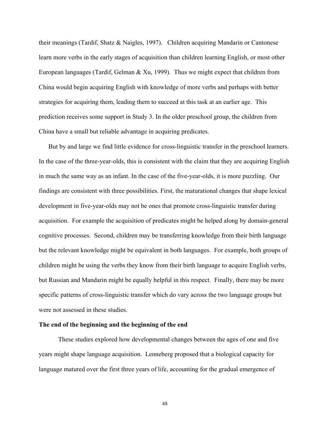their meanings (Tardif, Shatz & Naigles, 1997). Children acquiring Mandarin or Cantonese learn more verbs in the early stages of acquisition than children learning English, or most other European languages (Tardif, Gelman & Xu, 1999). Thus we might expect that children from China would begin acquiring English with knowledge of more verbs and perhaps with better strategies for acquiring them, leading them to succeed at this task at an earlier age. This prediction receives some support in Study 3. In the older preschool group, the children from China have a small but reliable advantage in acquiring predicates.

But by and large we find little evidence for cross-linguistic transfer in the preschool learners. In the case of the three-year-olds, this is consistent with the claim that they are acquiring English in much the same way as an infant. In the case of the five-year-olds, it is more puzzling. Our findings are consistent with three possibilities. First, the maturational changes that shape lexical development in five-year-olds may not be ones that promote cross-linguistic transfer during acquisition. For example the acquisition of predicates might be helped along by domain-general cognitive processes. Second, children may be transferring knowledge from their birth language but the relevant knowledge might be equivalent in both languages. For example, both groups of children might be using the verbs they know from their birth language to acquire English verbs, but Russian and Mandarin might be equally helpful in this respect. Finally, there may be more specific patterns of cross-linguistic transfer which do vary across the two language groups but were not assessed in these studies.

# **The end of the beginning and the beginning of the end**

These studies explored how developmental changes between the ages of one and five years might shape language acquisition. Lenneberg proposed that a biological capacity for language matured over the first three years of life, accounting for the gradual emergence of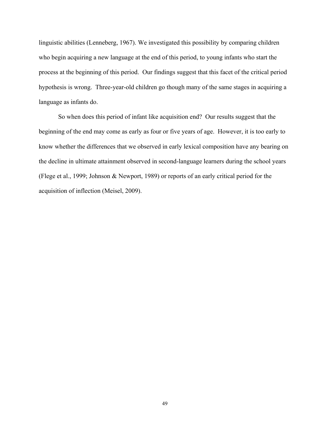linguistic abilities (Lenneberg, 1967). We investigated this possibility by comparing children who begin acquiring a new language at the end of this period, to young infants who start the process at the beginning of this period. Our findings suggest that this facet of the critical period hypothesis is wrong. Three-year-old children go though many of the same stages in acquiring a language as infants do.

So when does this period of infant like acquisition end? Our results suggest that the beginning of the end may come as early as four or five years of age. However, it is too early to know whether the differences that we observed in early lexical composition have any bearing on the decline in ultimate attainment observed in second-language learners during the school years (Flege et al., 1999; Johnson & Newport, 1989) or reports of an early critical period for the acquisition of inflection (Meisel, 2009).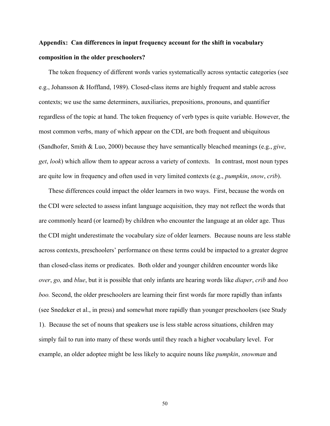# **Appendix: Can differences in input frequency account for the shift in vocabulary composition in the older preschoolers?**

The token frequency of different words varies systematically across syntactic categories (see e.g., Johansson & Hoffland, 1989). Closed-class items are highly frequent and stable across contexts; we use the same determiners, auxiliaries, prepositions, pronouns, and quantifier regardless of the topic at hand. The token frequency of verb types is quite variable. However, the most common verbs, many of which appear on the CDI, are both frequent and ubiquitous (Sandhofer, Smith & Luo, 2000) because they have semantically bleached meanings (e.g., *give*, *get*, *look*) which allow them to appear across a variety of contexts. In contrast, most noun types are quite low in frequency and often used in very limited contexts (e.g., *pumpkin*, *snow*, *crib*).

These differences could impact the older learners in two ways. First, because the words on the CDI were selected to assess infant language acquisition, they may not reflect the words that are commonly heard (or learned) by children who encounter the language at an older age. Thus the CDI might underestimate the vocabulary size of older learners. Because nouns are less stable across contexts, preschoolers' performance on these terms could be impacted to a greater degree than closed-class items or predicates. Both older and younger children encounter words like *over*, *go,* and *blue*, but it is possible that only infants are hearing words like *diaper*, *crib* and *boo boo.* Second, the older preschoolers are learning their first words far more rapidly than infants (see Snedeker et al., in press) and somewhat more rapidly than younger preschoolers (see Study 1). Because the set of nouns that speakers use is less stable across situations, children may simply fail to run into many of these words until they reach a higher vocabulary level. For example, an older adoptee might be less likely to acquire nouns like *pumpkin*, *snowman* and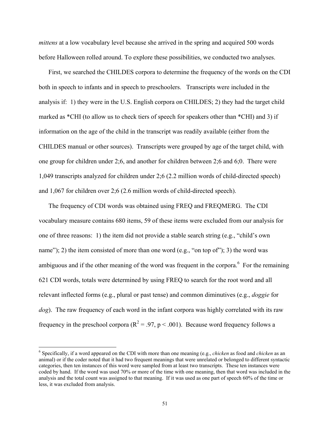*mittens* at a low vocabulary level because she arrived in the spring and acquired 500 words before Halloween rolled around. To explore these possibilities, we conducted two analyses.

First, we searched the CHILDES corpora to determine the frequency of the words on the CDI both in speech to infants and in speech to preschoolers. Transcripts were included in the analysis if: 1) they were in the U.S. English corpora on CHILDES; 2) they had the target child marked as \*CHI (to allow us to check tiers of speech for speakers other than \*CHI) and 3) if information on the age of the child in the transcript was readily available (either from the CHILDES manual or other sources). Transcripts were grouped by age of the target child, with one group for children under 2;6, and another for children between 2;6 and 6;0. There were 1,049 transcripts analyzed for children under 2;6 (2.2 million words of child-directed speech) and 1,067 for children over 2;6 (2.6 million words of child-directed speech).

The frequency of CDI words was obtained using FREQ and FREQMERG. The CDI vocabulary measure contains 680 items, 59 of these items were excluded from our analysis for one of three reasons: 1) the item did not provide a stable search string (e.g., "child's own name"); 2) the item consisted of more than one word (e.g., "on top of"); 3) the word was ambiguous and if the other meaning of the word was frequent in the corpora. $6$  For the remaining 621 CDI words, totals were determined by using FREQ to search for the root word and all relevant inflected forms (e.g., plural or past tense) and common diminutives (e.g., *doggie* for *dog*). The raw frequency of each word in the infant corpora was highly correlated with its raw frequency in the preschool corpora ( $R^2 = .97$ ,  $p < .001$ ). Because word frequency follows a

 $\overline{a}$ 

<sup>6</sup> Specifically, if a word appeared on the CDI with more than one meaning (e.g., *chicken* as food and *chicken* as an animal) or if the coder noted that it had two frequent meanings that were unrelated or belonged to different syntactic categories, then ten instances of this word were sampled from at least two transcripts. These ten instances were coded by hand. If the word was used 70% or more of the time with one meaning, then that word was included in the analysis and the total count was assigned to that meaning. If it was used as one part of speech 60% of the time or less, it was excluded from analysis.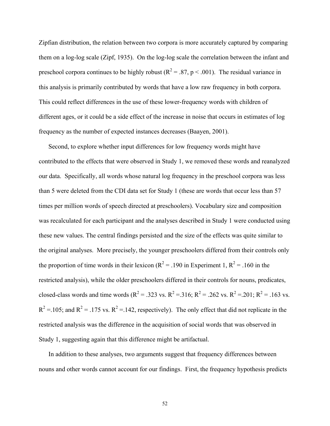Zipfian distribution, the relation between two corpora is more accurately captured by comparing them on a log-log scale (Zipf, 1935). On the log-log scale the correlation between the infant and preschool corpora continues to be highly robust ( $R^2 = .87$ , p < .001). The residual variance in this analysis is primarily contributed by words that have a low raw frequency in both corpora. This could reflect differences in the use of these lower-frequency words with children of different ages, or it could be a side effect of the increase in noise that occurs in estimates of log frequency as the number of expected instances decreases (Baayen, 2001).

Second, to explore whether input differences for low frequency words might have contributed to the effects that were observed in Study 1, we removed these words and reanalyzed our data. Specifically, all words whose natural log frequency in the preschool corpora was less than 5 were deleted from the CDI data set for Study 1 (these are words that occur less than 57 times per million words of speech directed at preschoolers). Vocabulary size and composition was recalculated for each participant and the analyses described in Study 1 were conducted using these new values. The central findings persisted and the size of the effects was quite similar to the original analyses. More precisely, the younger preschoolers differed from their controls only the proportion of time words in their lexicon ( $R^2$  = .190 in Experiment 1,  $R^2$  = .160 in the restricted analysis), while the older preschoolers differed in their controls for nouns, predicates, closed-class words and time words ( $R^2 = .323$  vs.  $R^2 = .316$ ;  $R^2 = .262$  vs.  $R^2 = .201$ ;  $R^2 = .163$  vs.  $R^2 = 0.105$ ; and  $R^2 = 0.175$  vs.  $R^2 = 0.142$ , respectively). The only effect that did not replicate in the restricted analysis was the difference in the acquisition of social words that was observed in Study 1, suggesting again that this difference might be artifactual.

In addition to these analyses, two arguments suggest that frequency differences between nouns and other words cannot account for our findings. First, the frequency hypothesis predicts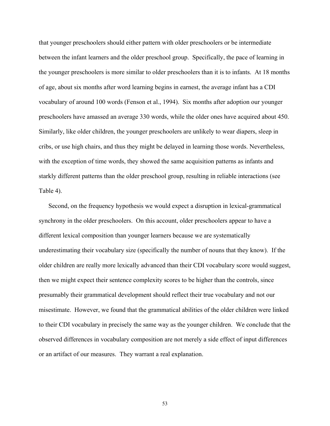that younger preschoolers should either pattern with older preschoolers or be intermediate between the infant learners and the older preschool group. Specifically, the pace of learning in the younger preschoolers is more similar to older preschoolers than it is to infants. At 18 months of age, about six months after word learning begins in earnest, the average infant has a CDI vocabulary of around 100 words (Fenson et al., 1994). Six months after adoption our younger preschoolers have amassed an average 330 words, while the older ones have acquired about 450. Similarly, like older children, the younger preschoolers are unlikely to wear diapers, sleep in cribs, or use high chairs, and thus they might be delayed in learning those words. Nevertheless, with the exception of time words, they showed the same acquisition patterns as infants and starkly different patterns than the older preschool group, resulting in reliable interactions (see Table 4).

Second, on the frequency hypothesis we would expect a disruption in lexical-grammatical synchrony in the older preschoolers. On this account, older preschoolers appear to have a different lexical composition than younger learners because we are systematically underestimating their vocabulary size (specifically the number of nouns that they know). If the older children are really more lexically advanced than their CDI vocabulary score would suggest, then we might expect their sentence complexity scores to be higher than the controls, since presumably their grammatical development should reflect their true vocabulary and not our misestimate. However, we found that the grammatical abilities of the older children were linked to their CDI vocabulary in precisely the same way as the younger children. We conclude that the observed differences in vocabulary composition are not merely a side effect of input differences or an artifact of our measures. They warrant a real explanation.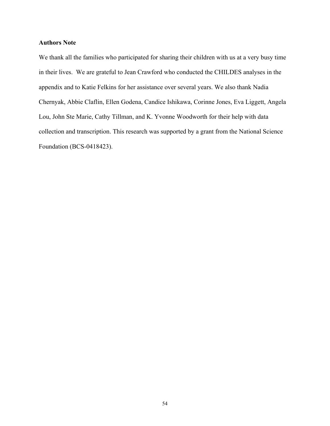# **Authors Note**

We thank all the families who participated for sharing their children with us at a very busy time in their lives. We are grateful to Jean Crawford who conducted the CHILDES analyses in the appendix and to Katie Felkins for her assistance over several years. We also thank Nadia Chernyak, Abbie Claflin, Ellen Godena, Candice Ishikawa, Corinne Jones, Eva Liggett, Angela Lou, John Ste Marie, Cathy Tillman, and K. Yvonne Woodworth for their help with data collection and transcription. This research was supported by a grant from the National Science Foundation (BCS-0418423).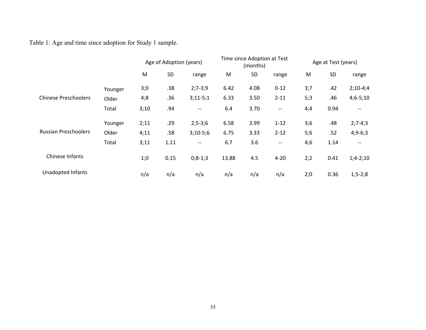# Table 1: Age and time since adoption for Study 1 sample.

|                             |         | Age of Adoption (years) |      | Time since Adoption at Test<br>(months) |       | Age at Test (years) |                          |     |           |                          |
|-----------------------------|---------|-------------------------|------|-----------------------------------------|-------|---------------------|--------------------------|-----|-----------|--------------------------|
|                             |         | M                       | SD   | range                                   | M     | SD                  | range                    | M   | <b>SD</b> | range                    |
|                             | Younger | 3;0                     | .38  | $2;7-3;9$                               | 6.42  | 4.08                | $0 - 12$                 | 3;7 | .42       | $2;10-4;4$               |
| <b>Chinese Preschoolers</b> | Older   | 4;8                     | .36  | $3;11-5;1$                              | 6.33  | 3.50                | $2 - 11$                 | 5;3 | .46       | $4;6-5;10$               |
|                             | Total   | 3;10                    | .94  | $\overline{\phantom{a}}$                | 6.4   | 3.70                | $\overline{\phantom{m}}$ | 4;4 | 0.94      | $\overline{\phantom{a}}$ |
|                             | Younger | 2;11                    | .29  | $2; 5 - 3; 6$                           | 6.58  | 3.99                | $1 - 12$                 | 3;6 | .48       | $2;7-4;3$                |
| <b>Russian Preschoolers</b> | Older   | 4;11                    | .58  | $3;10-5;6$                              | 6.75  | 3.33                | $2 - 12$                 | 5;6 | .52       | $4;9-6;3$                |
|                             | Total   | 3;11                    | 1.11 | $-\!$ $\!-$                             | 6.7   | 3.6                 | $-\,$ $-$                | 4;6 | 1.14      | $\qquad \qquad -$        |
| Chinese Infants             |         | 1;0                     | 0.15 | $0; 8-1; 3$                             | 13.88 | 4.5                 | $4 - 20$                 | 2;2 | 0.41      | $1;4-2;10$               |
| Unadopted Infants           |         | n/a                     | n/a  | n/a                                     | n/a   | n/a                 | n/a                      | 2:0 | 0.36      | $1; 5 - 2; 8$            |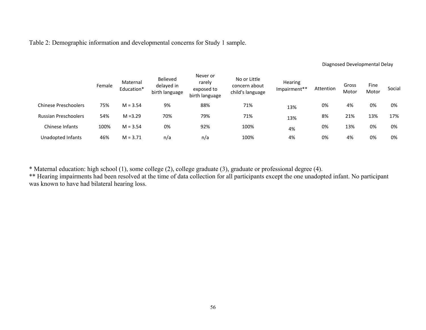Table 2: Demographic information and developmental concerns for Study 1 sample.

## Diagnosed Developmental Delay

|                             | Female | Maternal<br>Education* | Believed<br>delayed in<br>birth language | Never or<br>rarely<br>exposed to<br>birth language | No or Little<br>concern about<br>child's language | <b>Hearing</b><br>Impairment** | Attention | Gross<br>Motor | Fine<br>Motor | Social |
|-----------------------------|--------|------------------------|------------------------------------------|----------------------------------------------------|---------------------------------------------------|--------------------------------|-----------|----------------|---------------|--------|
| <b>Chinese Preschoolers</b> | 75%    | $M = 3.54$             | 9%                                       | 88%                                                | 71%                                               | 13%                            | 0%        | 4%             | 0%            | 0%     |
| <b>Russian Preschoolers</b> | 54%    | $M = 3.29$             | 70%                                      | 79%                                                | 71%                                               | 13%                            | 8%        | 21%            | 13%           | 17%    |
| Chinese Infants             | 100%   | $M = 3.54$             | 0%                                       | 92%                                                | 100%                                              | 4%                             | 0%        | 13%            | 0%            | 0%     |
| Unadopted Infants           | 46%    | $M = 3.71$             | n/a                                      | n/a                                                | 100%                                              | 4%                             | 0%        | 4%             | 0%            | 0%     |

\* Maternal education: high school (1), some college (2), college graduate (3), graduate or professional degree (4).

\*\* Hearing impairments had been resolved at the time of data collection for all participants except the one unadopted infant. No participant was known to have had bilateral hearing loss.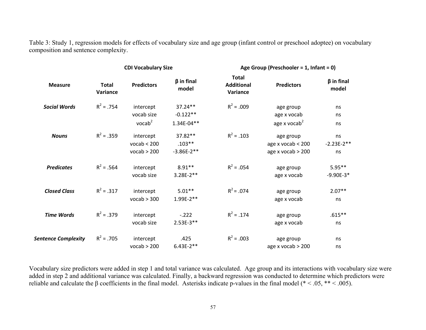Table 3: Study 1, regression models for effects of vocabulary size and age group (infant control or preschool adoptee) on vocabulary composition and sentence complexity.

|                            |                          | <b>CDI Vocabulary Size</b> |                           | Age Group (Preschooler = 1, Infant = 0)       |                             |                           |  |
|----------------------------|--------------------------|----------------------------|---------------------------|-----------------------------------------------|-----------------------------|---------------------------|--|
| <b>Measure</b>             | <b>Total</b><br>Variance | <b>Predictors</b>          | $\beta$ in final<br>model | <b>Total</b><br><b>Additional</b><br>Variance | <b>Predictors</b>           | $\beta$ in final<br>model |  |
| <b>Social Words</b>        | $R^2 = .754$             | intercept                  | 37.24**                   | $R^2 = .009$                                  | age group                   | ns                        |  |
|                            |                          | vocab size                 | $-0.122**$                |                                               | age x vocab                 | ns                        |  |
|                            |                          | vocab <sup>2</sup>         | $1.34E - 04**$            |                                               | age x vocab <sup>2</sup>    | ns                        |  |
| <b>Nouns</b>               | $R^2 = .359$             | intercept                  | 37.82**                   | $R^2$ = .103                                  | age group                   | ns                        |  |
|                            |                          | vocab < 200                | $.103**$                  |                                               | age $x \text{ vocab} < 200$ | $-2.23E-2**$              |  |
|                            |                          | vocab > 200                | $-3.86E-2**$              |                                               | age $x \text{ vocab} > 200$ | ns                        |  |
| <b>Predicates</b>          | $R^2 = .564$             | intercept                  | $8.91**$                  | $R^2 = .054$                                  | age group                   | $5.95**$                  |  |
|                            |                          | vocab size                 | 3.28E-2**                 |                                               | age x vocab                 | $-9.90E-3*$               |  |
| <b>Closed Class</b>        | $R^2 = .317$             | intercept                  | $5.01**$                  | $R^2$ = .074                                  | age group                   | $2.07**$                  |  |
|                            |                          | vocab > 300                | $1.99E-2**$               |                                               | age x vocab                 | ns                        |  |
| <b>Time Words</b>          | $R^2 = .379$             | intercept                  | $-.222$                   | $R^2 = .174$                                  | age group                   | $.615**$                  |  |
|                            |                          | vocab size                 | $2.53E-3**$               |                                               | age x vocab                 | ns                        |  |
| <b>Sentence Complexity</b> | $R^2$ = .705             | intercept                  | .425                      | $R^2 = .003$                                  | age group                   | ns                        |  |
|                            |                          | vocab > 200                | $6.43E-2**$               |                                               | age $x \text{ vocab} > 200$ | ns                        |  |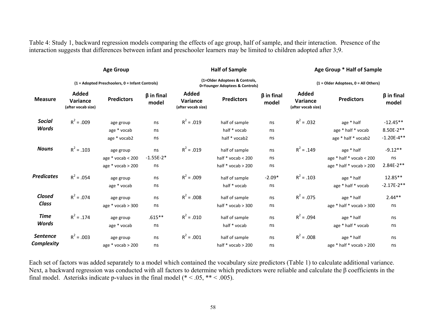Table 4: Study 1, backward regression models comparing the effects of age group, half of sample, and their interaction. Presence of the interaction suggests that differences between infant and preschooler learners may be limited to children adopted after 3;9.

|                   | <b>Age Group</b><br>(1 = Adopted Preschoolers, 0 = Infant Controls) |                       |                           |                                                                 | <b>Half of Sample</b>  |                           | Age Group * Half of Sample                     |                          |                           |  |
|-------------------|---------------------------------------------------------------------|-----------------------|---------------------------|-----------------------------------------------------------------|------------------------|---------------------------|------------------------------------------------|--------------------------|---------------------------|--|
|                   |                                                                     |                       |                           | (1=Older Adoptees & Controls,<br>0=Younger Adoptees & Controls) |                        |                           | (1 = Older Adoptees, 0 = All Others)           |                          |                           |  |
| <b>Measure</b>    | Added<br>Variance<br>(after vocab size)                             | <b>Predictors</b>     | $\beta$ in final<br>model | Added<br>Variance<br>(after vocab size)                         | <b>Predictors</b>      | $\beta$ in final<br>model | Added<br><b>Variance</b><br>(after vocab size) | <b>Predictors</b>        | $\beta$ in final<br>model |  |
| Social            | $R^2 = .009$                                                        | age group             | ns                        | $R^2 = .019$                                                    | half of sample         | ns                        | $R^2 = .032$                                   | age * half               | $-12.45**$                |  |
| Words             |                                                                     | age * vocab           | ns                        |                                                                 | half * vocab           | ns                        |                                                | age * half * vocab       | 8.50E-2**                 |  |
|                   |                                                                     | age * vocab2          | ns                        |                                                                 | half * vocab2          | ns                        |                                                | age * half * vocab2      | $-1.20E - 4**$            |  |
| <b>Nouns</b>      | $R^2$ = .103                                                        | age group             | ns                        | $R^2 = .019$                                                    | half of sample         | ns                        | $R^2 = .149$                                   | age * half               | $-9.12**$                 |  |
|                   |                                                                     | age $*$ vocab < 200   | $-1.55E-2*$               |                                                                 | half $*$ vocab < 200   | ns                        |                                                | age * half * vocab < 200 | ns                        |  |
|                   |                                                                     | age $*$ vocab $>$ 200 | ns                        |                                                                 | half * vocab > 200     | ns                        |                                                | age * half * vocab > 200 | $2.84E-2**$               |  |
| <b>Predicates</b> | $R^2 = .054$                                                        | age group             | ns                        | $R^2 = .009$                                                    | half of sample         | $-2.09*$                  | $R^2$ = .103                                   | age * half               | 12.85**                   |  |
|                   |                                                                     | age * vocab           | ns                        |                                                                 | half * vocab           | ns                        |                                                | age * half * vocab       | $-2.17E-2**$              |  |
| Closed            | $R^2 = .074$                                                        | age group             | ns                        | $R^2$ = .008                                                    | half of sample         | ns                        | $R^2 = .075$                                   | age * half               | $2.44**$                  |  |
| Class             |                                                                     | age $*$ vocab > 300   | ns                        |                                                                 | half $*$ vocab $> 300$ | ns                        |                                                | age * half * vocab > 300 | ns                        |  |
| <b>Time</b>       | $R^2$ = .174                                                        | age group             | $.615**$                  | $R^2 = .010$                                                    | half of sample         | ns                        | $R^2 = .094$                                   | age * half               | ns                        |  |
| Words             |                                                                     | age * vocab           | ns                        |                                                                 | half * vocab           | ns                        |                                                | age * half * vocab       | ns                        |  |
| <b>Sentence</b>   | $R^2 = .003$                                                        | age group             | ns                        | $R^2 = .001$                                                    | half of sample         | ns                        | $R^2 = .008$                                   | age * half               | ns                        |  |
| Complexity        |                                                                     | age $*$ vocab > 200   | ns                        |                                                                 | half * vocab > 200     | ns                        |                                                | age * half * vocab > 200 | ns                        |  |

Each set of factors was added separately to a model which contained the vocabulary size predictors (Table 1) to calculate additional variance. Next, a backward regression was conducted with all factors to determine which predictors were reliable and calculate the  $\beta$  coefficients in the final model. Asterisks indicate p-values in the final model ( $* < .05, ** < .005$ ).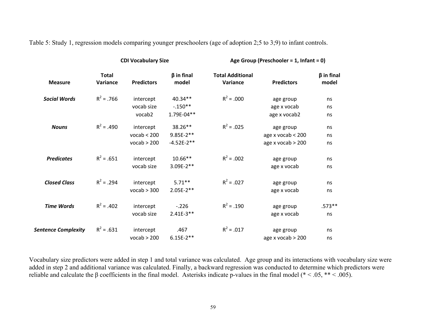Table 5: Study 1, regression models comparing younger preschoolers (age of adoption 2;5 to 3;9) to infant controls.

|                            |                          | <b>CDI Vocabulary Size</b> |                           | Age Group (Preschooler = 1, Infant = 0) |                             |                           |  |
|----------------------------|--------------------------|----------------------------|---------------------------|-----------------------------------------|-----------------------------|---------------------------|--|
| <b>Measure</b>             | <b>Total</b><br>Variance | <b>Predictors</b>          | $\beta$ in final<br>model | <b>Total Additional</b><br>Variance     | <b>Predictors</b>           | $\beta$ in final<br>model |  |
| <b>Social Words</b>        | $R^2$ = .766             | intercept                  | 40.34**                   | $R^2 = .000$                            | age group                   | ns                        |  |
|                            |                          | vocab size                 | $-.150**$                 |                                         | age x vocab                 | ns                        |  |
|                            |                          | vocab2                     | 1.79E-04**                |                                         | age x vocab2                | ns                        |  |
| <b>Nouns</b>               | $R^2$ = .490             | intercept                  | 38.26**                   | $R^2 = .025$                            | age group                   | ns                        |  |
|                            |                          | vocab < 200                | $9.85E-2**$               |                                         | age $x \text{ vocab} < 200$ | ns                        |  |
|                            |                          | vocab > 200                | $-4.52E-2**$              |                                         | age $x \text{ vocab} > 200$ | ns                        |  |
| <b>Predicates</b>          | $R^2 = .651$             | intercept                  | 10.66**                   | $R^2 = .002$                            | age group                   | ns                        |  |
|                            |                          | vocab size                 | 3.09E-2**                 |                                         | age x vocab                 | ns                        |  |
| <b>Closed Class</b>        | $R^2 = .294$             | intercept                  | $5.71***$                 | $R^2 = .027$                            | age group                   | ns                        |  |
|                            |                          | vocab > 300                | $2.05E-2**$               |                                         | age x vocab                 | ns                        |  |
| <b>Time Words</b>          | $R^2$ = .402             | intercept                  | $-.226$                   | $R^2 = .190$                            | age group                   | $.573**$                  |  |
|                            |                          | vocab size                 | $2.41E-3**$               |                                         | age x vocab                 | ns                        |  |
| <b>Sentence Complexity</b> | $R^2 = .631$             | intercept                  | .467                      | $R^2 = .017$                            | age group                   | ns                        |  |
|                            |                          | vocab > 200                | $6.15E-2**$               |                                         | age $x \text{ vocab} > 200$ | ns                        |  |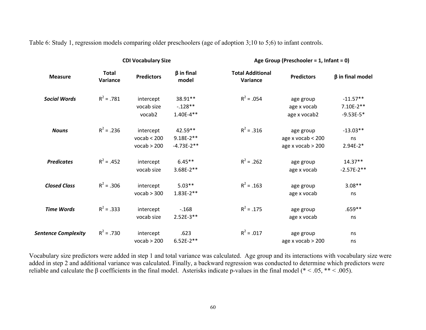Table 6: Study 1, regression models comparing older preschoolers (age of adoption 3;10 to 5;6) to infant controls.

|                            |                          | <b>CDI Vocabulary Size</b>              |                                        | Age Group (Preschooler = 1, Infant = 0) |                                                                         |                                          |  |
|----------------------------|--------------------------|-----------------------------------------|----------------------------------------|-----------------------------------------|-------------------------------------------------------------------------|------------------------------------------|--|
| <b>Measure</b>             | <b>Total</b><br>Variance | <b>Predictors</b>                       | $\beta$ in final<br>model              | <b>Total Additional</b><br>Variance     | <b>Predictors</b>                                                       | $\beta$ in final model                   |  |
| <b>Social Words</b>        | $R^2 = .781$             | intercept<br>vocab size<br>vocab2       | 38.91**<br>$-.128**$<br>$1.40E - 4**$  | $R^2 = .054$                            | age group<br>age x vocab<br>age x vocab2                                | $-11.57**$<br>$7.10E-2**$<br>$-9.53E-5*$ |  |
| <b>Nouns</b>               | $R^2 = .236$             | intercept<br>vocab < 200<br>vocab > 200 | 42.59**<br>$9.18E-2**$<br>$-4.73E-2**$ | $R^2 = .316$                            | age group<br>age $x \text{ vocab} < 200$<br>age $x \text{ vocab} > 200$ | $-13.03**$<br>ns<br>$2.94E-2*$           |  |
| <b>Predicates</b>          | $R^2$ = .452             | intercept<br>vocab size                 | $6.45**$<br>$3.68E-2**$                | $R^2$ = .262                            | age group<br>age x vocab                                                | $14.37**$<br>$-2.57E-2**$                |  |
| <b>Closed Class</b>        | $R^2 = .306$             | intercept<br>vocab > 300                | $5.03**$<br>$1.83E-2**$                | $R^2$ = .163                            | age group<br>age x vocab                                                | $3.08**$<br>ns                           |  |
| <b>Time Words</b>          | $R^2 = .333$             | intercept<br>vocab size                 | $-.168$<br>$2.52E-3**$                 | $R^2 = .175$                            | age group<br>age x vocab                                                | $.659**$<br>ns                           |  |
| <b>Sentence Complexity</b> | $R^2 = .730$             | intercept<br>vocab > 200                | .623<br>$6.52E-2**$                    | $R^2 = .017$                            | age group<br>age $x \text{ vocab} > 200$                                | ns<br>ns                                 |  |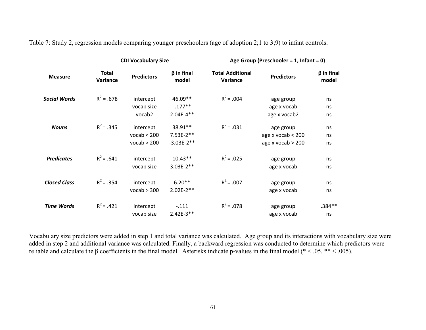Table 7: Study 2, regression models comparing younger preschoolers (age of adoption 2;1 to 3;9) to infant controls.

|                     |                          | <b>CDI Vocabulary Size</b> | Age Group (Preschooler = 1, Infant = 0) |                                     |                             |                           |
|---------------------|--------------------------|----------------------------|-----------------------------------------|-------------------------------------|-----------------------------|---------------------------|
| <b>Measure</b>      | <b>Total</b><br>Variance | <b>Predictors</b>          | $\beta$ in final<br>model               | <b>Total Additional</b><br>Variance | <b>Predictors</b>           | $\beta$ in final<br>model |
| <b>Social Words</b> | $R^2 = .678$             | intercept                  | 46.09**                                 | $R^2$ = .004                        | age group                   | ns                        |
|                     |                          | vocab size                 | $-.177**$                               |                                     | age x vocab                 | ns                        |
|                     |                          | vocab2                     | $2.04E-4**$                             |                                     | age x vocab2                | ns                        |
| <b>Nouns</b>        | $R^2$ = .345             | intercept                  | 38.91**                                 | $R^2 = .031$                        | age group                   | ns                        |
|                     |                          | vocab < 200                | $7.53E-2**$                             |                                     | age $x \text{ vocab} < 200$ | ns                        |
|                     |                          | vocab > 200                | $-3.03E-2**$                            |                                     | age $x \text{ vocab} > 200$ | ns                        |
| <b>Predicates</b>   | $R^2 = .641$             | intercept                  | $10.43**$                               | $R^2$ = .025                        | age group                   | ns                        |
|                     |                          | vocab size                 | 3.03E-2**                               |                                     | age x vocab                 | ns                        |
| <b>Closed Class</b> | $R^2$ = .354             | intercept                  | $6.20**$                                | $R^2$ = .007                        | age group                   | ns                        |
|                     |                          | vocab > 300                | $2.02E-2**$                             |                                     | age x vocab                 | ns                        |
| <b>Time Words</b>   | $R^2$ = .421             | intercept                  | $-.111$                                 | $R^2 = .078$                        | age group                   | $.384**$                  |
|                     |                          | vocab size                 | $2.42E-3**$                             |                                     | age x vocab                 | ns                        |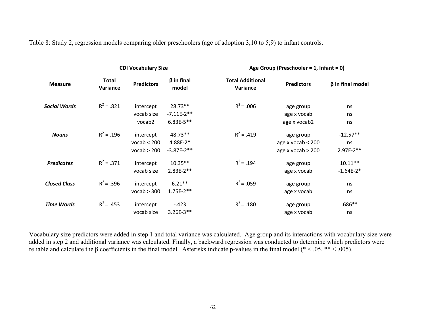Table 8: Study 2, regression models comparing older preschoolers (age of adoption 3;10 to 5;9) to infant controls.

|                     |                          | <b>CDI Vocabulary Size</b> |                           | Age Group (Preschooler = 1, Infant = 0) |                             |                        |  |
|---------------------|--------------------------|----------------------------|---------------------------|-----------------------------------------|-----------------------------|------------------------|--|
| <b>Measure</b>      | <b>Total</b><br>Variance | <b>Predictors</b>          | $\beta$ in final<br>model | <b>Total Additional</b><br>Variance     | <b>Predictors</b>           | $\beta$ in final model |  |
| <b>Social Words</b> | $R^2 = .821$             | intercept<br>vocab size    | $28.73**$<br>$-7.11E-2**$ | $R^2$ = .006                            | age group<br>age x vocab    | ns<br>ns               |  |
|                     |                          | vocab2                     | $6.83E-5**$               |                                         | age x vocab2                | ns                     |  |
| <b>Nouns</b>        | $R^2 = .196$             | intercept                  | 48.73**                   | $R^2 = .419$                            | age group                   | $-12.57**$             |  |
|                     |                          | vocab < 200                | $4.88E-2*$                |                                         | age $x \text{ vocab} < 200$ | ns                     |  |
|                     |                          | vocab > 200                | $-3.87E-2**$              |                                         | age $x \text{ vocab} > 200$ | $2.97E-2**$            |  |
| <b>Predicates</b>   | $R^2 = .371$             | intercept                  | $10.35**$                 | $R^2$ = .194                            | age group                   | $10.11**$              |  |
|                     |                          | vocab size                 | $2.83E-2**$               |                                         | age x vocab                 | $-1.64E-2*$            |  |
| <b>Closed Class</b> | $R^2$ = .396             | intercept                  | $6.21**$                  | $R^2$ = .059                            | age group                   | ns                     |  |
|                     |                          | vocab > 300                | $1.75E-2**$               |                                         | age x vocab                 | ns                     |  |
| <b>Time Words</b>   | $R^2$ = .453             | intercept                  | $-.423$                   | $R^2$ = .180                            | age group                   | $.686**$               |  |
|                     |                          | vocab size                 | $3.26E-3**$               |                                         | age x vocab                 | ns                     |  |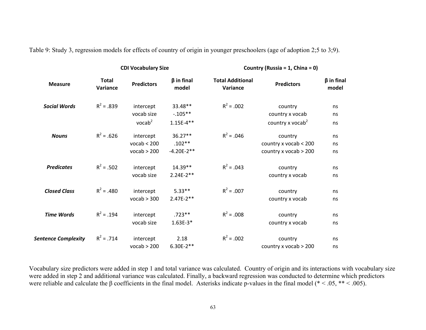Table 9: Study 3, regression models for effects of country of origin in younger preschoolers (age of adoption 2;5 to 3;9).

|                            |                          | <b>CDI Vocabulary Size</b> |                           | Country (Russia = 1, China = 0)     |                              |                           |  |
|----------------------------|--------------------------|----------------------------|---------------------------|-------------------------------------|------------------------------|---------------------------|--|
| <b>Measure</b>             | <b>Total</b><br>Variance | <b>Predictors</b>          | $\beta$ in final<br>model | <b>Total Additional</b><br>Variance | <b>Predictors</b>            | $\beta$ in final<br>model |  |
| <b>Social Words</b>        | $R^2 = .839$             | intercept                  | 33.48**                   | $R^2 = .002$                        | country                      | ns                        |  |
|                            |                          | vocab size                 | $-0.105**$                |                                     | country x vocab              | ns                        |  |
|                            |                          | vocab <sup>2</sup>         | $1.15E-4**$               |                                     | country x vocab <sup>2</sup> | ns                        |  |
| <b>Nouns</b>               | $R^2 = .626$             | intercept                  | 36.27**                   | $R^2 = .046$                        | country                      | ns                        |  |
|                            |                          | vocab < 200                | $.102**$                  |                                     | country x vocab < 200        | ns                        |  |
|                            |                          | vocab > 200                | $-4.20E-2**$              |                                     | country x vocab > 200        | ns                        |  |
| <b>Predicates</b>          | $R^2 = .502$             | intercept                  | 14.39**                   | $R^2 = .043$                        | country                      | ns                        |  |
|                            |                          | vocab size                 | $2.24E-2**$               |                                     | country x vocab              | ns                        |  |
| <b>Closed Class</b>        | $R^2$ = .480             | intercept                  | $5.33**$                  | $R^2 = .007$                        | country                      | ns                        |  |
|                            |                          | vocab > 300                | $2.47E-2**$               |                                     | country x vocab              | ns                        |  |
| <b>Time Words</b>          | $R^2$ = .194             | intercept                  | $.723**$                  | $R^2 = .008$                        | country                      | ns                        |  |
|                            |                          | vocab size                 | $1.63E-3*$                |                                     | country x vocab              | ns                        |  |
| <b>Sentence Complexity</b> | $R^2 = .714$             | intercept                  | 2.18                      | $R^2 = .002$                        | country                      | ns                        |  |
|                            |                          | vocab > 200                | $6.30E-2**$               |                                     | country x vocab $> 200$      | ns                        |  |
|                            |                          |                            |                           |                                     |                              |                           |  |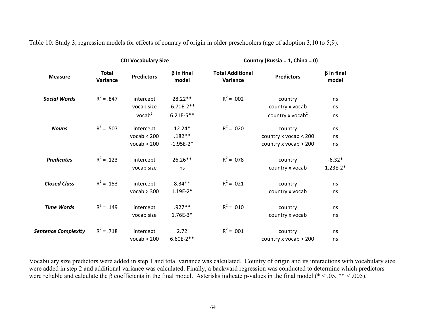Table 10: Study 3, regression models for effects of country of origin in older preschoolers (age of adoption 3;10 to 5;9).

| <b>Total</b><br>$\beta$ in final<br><b>Total Additional</b>                     | $\beta$ in final             |
|---------------------------------------------------------------------------------|------------------------------|
| <b>Predictors</b><br><b>Measure</b><br>Variance<br>model<br>Variance            | <b>Predictors</b><br>model   |
| $R^2 = .847$<br>$R^2 = .002$<br>28.22**<br><b>Social Words</b><br>intercept     | country<br>ns                |
| vocab size                                                                      | country x vocab              |
| $-6.70E-2**$                                                                    | ns                           |
| vocab <sup>2</sup>                                                              | country x vocab <sup>2</sup> |
| $6.21E-5**$                                                                     | ns                           |
| $R^2 = .507$<br>$R^2 = .020$<br>intercept<br>12.24*<br><b>Nouns</b>             | country<br>ns                |
| vocab < 200                                                                     | country x vocab < 200        |
| $.182**$                                                                        | ns                           |
| vocab > 200                                                                     | country x vocab > 200        |
| $-1.95E-2*$                                                                     | ns                           |
| $R^2 = .078$<br>$R^2 = .123$<br><b>Predicates</b><br>intercept<br>$26.26**$     | $-6.32*$<br>country          |
| vocab size                                                                      | $1.23E-2*$                   |
| ns                                                                              | country x vocab              |
| $R^2 = .021$<br>$R^2$ = .153<br><b>Closed Class</b><br>$8.34**$<br>intercept    | country<br>ns                |
| vocab > 300                                                                     | country x vocab              |
| $1.19E-2*$                                                                      | ns                           |
| $R^2 = .010$<br>$R^2 = .149$<br><b>Time Words</b><br>$.927**$<br>intercept      | country<br>ns                |
| vocab size                                                                      | country x vocab              |
| $1.76E-3*$                                                                      | ns                           |
| $R^2 = .001$<br>$R^2 = .718$<br>2.72<br><b>Sentence Complexity</b><br>intercept | country<br>ns                |
| vocab > 200                                                                     | country x vocab > 200        |
| $6.60E-2**$                                                                     | ns                           |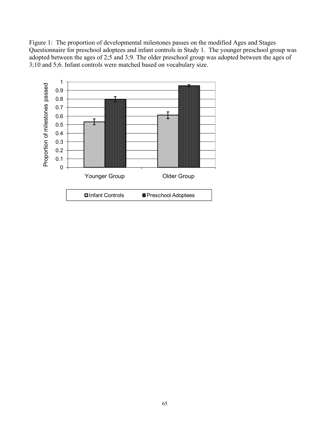Figure 1: The proportion of developmental milestones passes on the modified Ages and Stages Questionnaire for preschool adoptees and infant controls in Study 1. The younger preschool group was adopted between the ages of 2;5 and 3;9. The older preschool group was adopted between the ages of 3;10 and 5;6. Infant controls were matched based on vocabulary size.

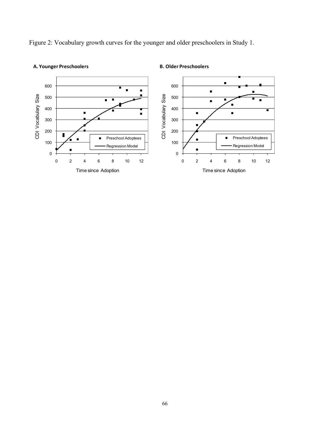Figure 2: Vocabulary growth curves for the younger and older preschoolers in Study 1.



## **A. Younger Preschoolers**

**B. Older Preschoolers**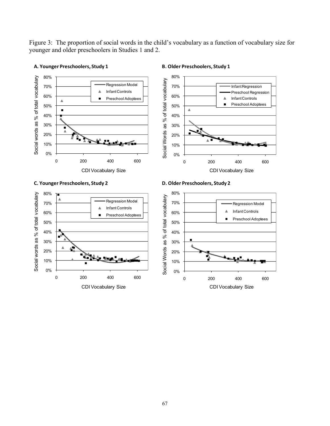Figure 3: The proportion of social words in the child's vocabulary as a function of vocabulary size for younger and older preschoolers in Studies 1 and 2.



## **A. Younger Preschoolers, Study 1**

**B. Older Preschoolers, Study 1**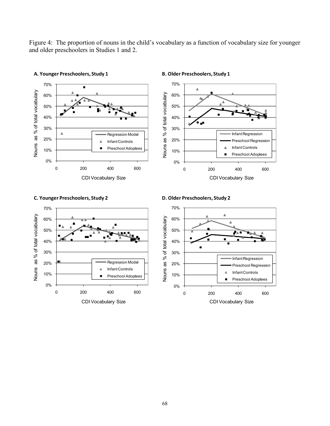Figure 4: The proportion of nouns in the child's vocabulary as a function of vocabulary size for younger and older preschoolers in Studies 1 and 2.



### **A. Younger Preschoolers, Study 1**

**B. Older Preschoolers, Study 1**





## **C. Younger Preschoolers, Study 2**

**D. Older Preschoolers, Study 2**

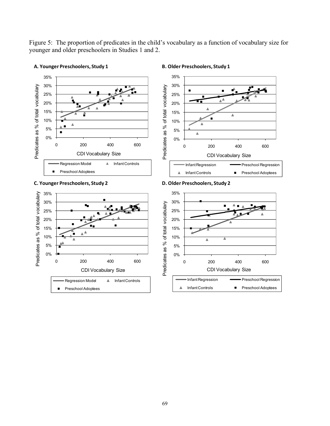Figure 5: The proportion of predicates in the child's vocabulary as a function of vocabulary size for younger and older preschoolers in Studies 1 and 2.



#### **A. Younger Preschoolers, Study 1**

#### **B. Older Preschoolers, Study 1**







**D. Older Preschoolers, Study 2**

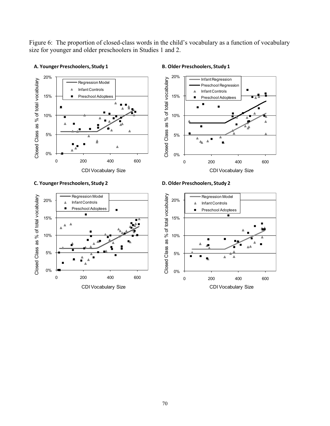Figure 6: The proportion of closed-class words in the child's vocabulary as a function of vocabulary size for younger and older preschoolers in Studies 1 and 2.



### **B. Older Preschoolers, Study 1**



### **C. Younger Preschoolers, Study 2**

**A. Younger Preschoolers, Study 1**

Regression Model Closed Class as % of total vocabulary Closed Class as % of total vocabulary 20% Infant Controls Preschool Adoptees п  $\blacksquare$ 15%  $\mathbb{A}^{\mathbb{A}}$ 10% 5% 0% 0 200 400 600 CDI Vocabulary Size

**D. Older Preschoolers, Study 2**

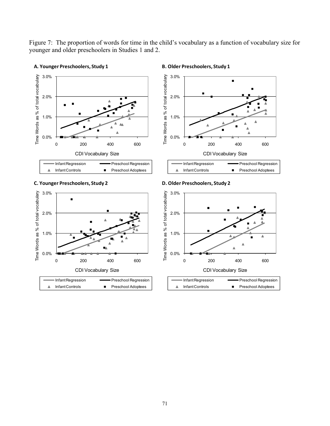Figure 7: The proportion of words for time in the child's vocabulary as a function of vocabulary size for younger and older preschoolers in Studies 1 and 2.



### **A. Younger Preschoolers, Study 1**

#### **B. Older Preschoolers, Study 1**









**D. Older Preschoolers, Study 2**



| • Infant Regression | <b>Preschool Regression</b> |
|---------------------|-----------------------------|
| Infant Controls     | <b>Preschool Adoptees</b>   |
|                     |                             |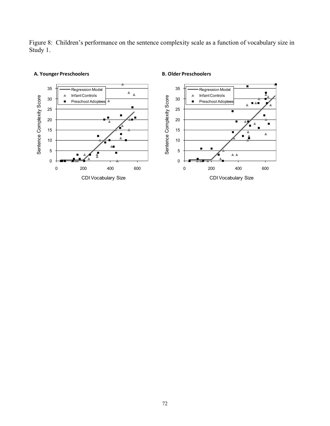Figure 8: Children's performance on the sentence complexity scale as a function of vocabulary size in Study 1.



## **A. Younger Preschoolers**

**B. Older Preschoolers**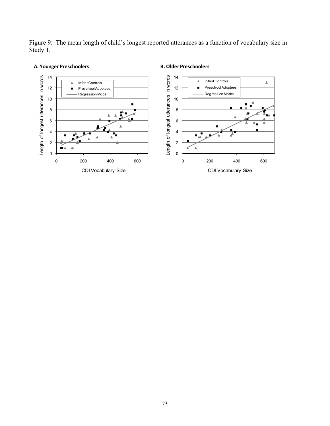Figure 9: The mean length of child's longest reported utterances as a function of vocabulary size in Study 1.



# **A. Younger Preschoolers**

# **B. Older Preschoolers**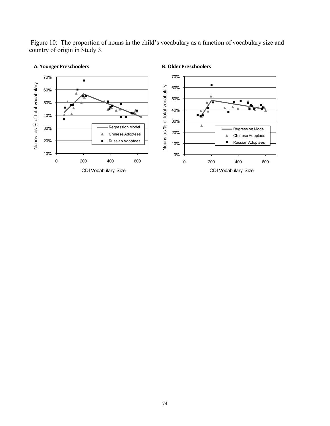Figure 10: The proportion of nouns in the child's vocabulary as a function of vocabulary size and country of origin in Study 3.



## **A. Younger Preschoolers**

#### **B. Older Preschoolers**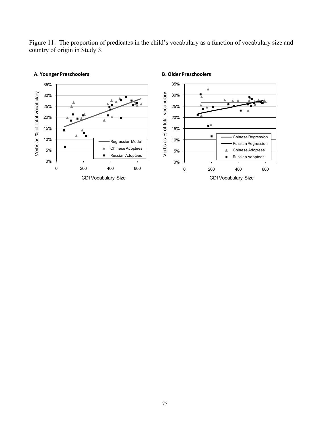Figure 11: The proportion of predicates in the child's vocabulary as a function of vocabulary size and country of origin in Study 3.



## **A. Younger Preschoolers**

**B. Older Preschoolers**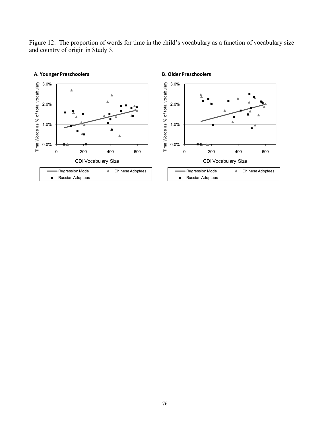Figure 12: The proportion of words for time in the child's vocabulary as a function of vocabulary size and country of origin in Study 3.

**B. Older Preschoolers**



**A. Younger Preschoolers**

76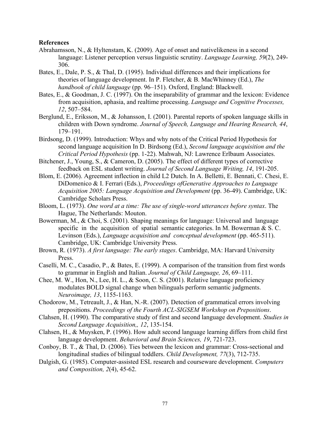# **References**

- Abrahamsson, N., & Hyltenstam, K. (2009). Age of onset and nativelikeness in a second language: Listener perception versus linguistic scrutiny. *Language Learning, 59*(2), 249- 306.
- Bates, E., Dale, P. S., & Thal, D. (1995). Individual differences and their implications for theories of language development. In P. Fletcher, & B. MacWhinney (Ed.), *The handbook of child language* (pp. 96–151). Oxford, England: Blackwell.
- Bates, E., & Goodman, J. C. (1997). On the inseparability of grammar and the lexicon: Evidence from acquisition, aphasia, and realtime processing. *Language and Cognitive Processes, 12*, 507–584.
- Berglund, E., Eriksson, M., & Johansson, I. (2001). Parental reports of spoken language skills in children with Down syndrome. *Journal of Speech, Language and Hearing Research, 44*, 179–191.
- Birdsong, D. (1999). Introduction: Whys and why nots of the Critical Period Hypothesis for second language acquisition In D. Birdsong (Ed.), *Second language acquisition and the Critical Period Hypothesis* (pp. 1-22). Mahwah, NJ: Lawrence Erlbaum Associates.
- Bitchener, J., Young, S., & Cameron, D. (2005). The effect of different types of corrective feedback on ESL student writing. *Journal of Second Language Writing, 14*, 191-205.
- Blom, E. (2006). Agreement inflection in child L2 Dutch. In A. Belletti, E. Bennati, C. Chesi, E. DiDomenico & I. Ferrari (Eds.), *Proceedings ofGenerative Approaches to Language Acquisition 2005: Language Acquisition and Development* (pp. 36-49). Cambridge, UK: Cambridge Scholars Press.
- Bloom, L. (1973). *One word at a time: The use of single-word utterances before syntax*. The Hague, The Netherlands: Mouton.
- Bowerman, M., & Choi, S. (2001). Shaping meanings for language: Universal and language specific in the acquisition of spatial semantic categories. In M. Bowerman  $& S. C.$ Levinson (Eds.), *Language acquisition and conceptual development* (pp. 465-511). Cambridge, UK: Cambridge University Press.
- Brown, R. (1973). *A first language: The early stages*. Cambridge, MA: Harvard University Press.
- Caselli, M. C., Casadio, P., & Bates, E. (1999). A comparison of the transition from first words to grammar in English and Italian. *Journal of Child Language, 26*, 69–111.
- Chee, M. W., Hon, N., Lee, H. L., & Soon, C. S. (2001). Relative language proficiency modulates BOLD signal change when bilinguals perform semantic judgments. *Neuroimage, 13*, 1155-1163.
- Chodorow, M., Tetreault, J., & Han, N.-R. (2007). Detection of grammatical errors involving prepositions. *Proceedings of the Fourth ACL-SIGSEM Workshop on Prepositions*.
- Clahsen, H. (1990). The comparative study of first and second language development. *Studies in Second Language Acquisition,, 12*, 135-154.
- Clahsen, H., & Muysken, P. (1996). How adult second language learning differs from child first language development. *Behavioral and Brain Sciences, 19*, 721-723.
- Conboy, B. T., & Thal, D. (2006). Ties between the lexicon and grammar: Cross-sectional and longitudinal studies of bilingual toddlers. *Child Development, 77*(3), 712-735.
- Dalgish, G. (1985). Computer-assisted ESL research and courseware development. *Computers and Composition, 2*(4), 45-62.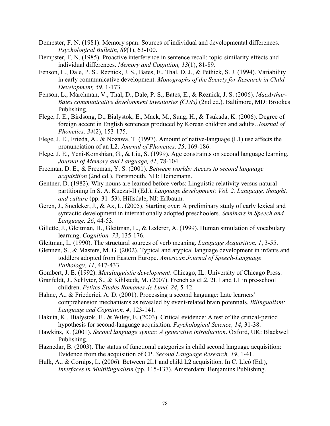- Dempster, F. N. (1981). Memory span: Sources of individual and developmental differences. *Psychological Bulletin, 89*(1), 63-100.
- Dempster, F. N. (1985). Proactive interference in sentence recall: topic-similarity effects and individual differences. *Memory and Cognition, 13*(1), 81-89.
- Fenson, L., Dale, P. S., Reznick, J. S., Bates, E., Thal, D. J., & Pethick, S. J. (1994). Variability in early communicative development. *Monographs of the Society for Research in Child Development, 59*, 1-173.
- Fenson, L., Marchman, V., Thal, D., Dale, P. S., Bates, E., & Reznick, J. S. (2006). *MacArthur-Bates communicative development inventories (CDIs)* (2nd ed.). Baltimore, MD: Brookes Publishing.
- Flege, J. E., Birdsong, D., Bialystok, E., Mack, M., Sung, H., & Tsukada, K. (2006). Degree of foreign accent in English sentences produced by Korean children and adults. *Journal of Phonetics, 34*(2), 153-175.
- Flege, J. E., Frieda, A., & Nozawa, T. (1997). Amount of native-language (L1) use affects the pronunciation of an L2. *Journal of Phonetics, 25*, 169-186.
- Flege, J. E., Yeni-Komshian, G., & Liu, S. (1999). Age constraints on second language learning. *Journal of Memory and Language, 41*, 78-104.
- Freeman, D. E., & Freeman, Y. S. (2001). *Between worlds: Access to second language acquisition* (2nd ed.). Portsmouth, NH: Heinemann.
- Gentner, D. (1982). Why nouns are learned before verbs: Linguistic relativity versus natural partitioning In S. A. Kuczaj-II (Ed.), *Language development: Vol. 2. Language, thought, and culture* (pp. 31–53). Hillsdale, NJ: Erlbaum.
- Geren, J., Snedeker, J., & Ax, L. (2005). Starting over: A preliminary study of early lexical and syntactic development in internationally adopted preschoolers. *Seminars in Speech and Language, 26*, 44-53.
- Gillette, J., Gleitman, H., Gleitman, L., & Lederer, A. (1999). Human simulation of vocabulary learning. *Cognition, 73*, 135-176.
- Gleitman, L. (1990). The structural sources of verb meaning. *Language Acquisition, 1*, 3-55.
- Glennen, S., & Masters, M. G. (2002). Typical and atypical language development in infants and toddlers adopted from Eastern Europe. *American Journal of Speech-Language Pathology, 11*, 417-433.
- Gombert, J. E. (1992). *Metalinguistic development*. Chicago, IL: University of Chicago Press.
- Granfeldt, J., Schlyter, S., & Kihlstedt, M. (2007). French as cL2, 2L1 and L1 in pre-school children. *Petites Études Romanes de Lund, 24*, 5-42.
- Hahne, A., & Friederici, A. D. (2001). Processing a second language: Late learners' comprehension mechanisms as revealed by event-related brain potentials. *Bilingualism: Language and Cognition, 4*, 123-141.
- Hakuta, K., Bialystok, E., & Wiley, E. (2003). Critical evidence: A test of the critical-period hypothesis for second-language acquisition. *Psychological Science, 14*, 31-38.
- Hawkins, R. (2001). *Second language syntax: A generative introduction*. Oxford, UK: Blackwell Publishing.
- Haznedar, B. (2003). The status of functional categories in child second language acquisition: Evidence from the acquisition of CP. *Second Language Research, 19*, 1-41.
- Hulk, A., & Cornips, L. (2006). Between 2L1 and child L2 acquisition. In C. Lleó (Ed.), *Interfaces in Multilingualism* (pp. 115-137). Amsterdam: Benjamins Publishing.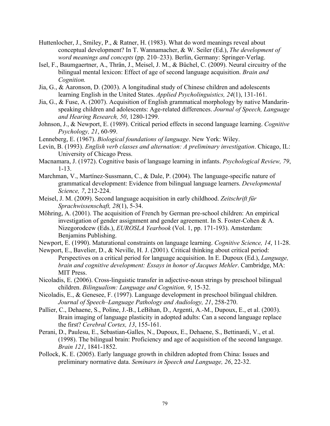- Huttenlocher, J., Smiley, P., & Ratner, H. (1983). What do word meanings reveal about conceptual development? In T. Wannamacher, & W. Seiler (Ed.), *The development of word meanings and concepts* (pp. 210–233). Berlin, Germany: Springer-Verlag.
- Isel, F., Baumgaertner, A., Thrän, J., Meisel, J. M., & Büchel, C. (2009). Neural circuitry of the bilingual mental lexicon: Effect of age of second language acquisition. *Brain and Cognition.*
- Jia, G., & Aaronson, D. (2003). A longitudinal study of Chinese children and adolescents learning English in the United States. *Applied Psycholinguistics, 24*(1), 131-161.
- Jia, G., & Fuse, A. (2007). Acquisition of English grammatical morphology by native Mandarinspeaking children and adolescents: Age-related differences. *Journal of Speech, Language and Hearing Research, 50*, 1280-1299.
- Johnson, J., & Newport, E. (1989). Critical period effects in second language learning. *Cognitive Psychology, 21*, 60-99.
- Lenneberg, E. (1967). *Biological foundations of language*. New York: Wiley.
- Levin, B. (1993). *English verb classes and alternation: A preliminary investigation*. Chicago, IL: University of Chicago Press.
- Macnamara, J. (1972). Cognitive basis of language learning in infants. *Psychological Review, 79*, 1-13.
- Marchman, V., Martínez-Sussmann, C., & Dale, P. (2004). The language-specific nature of grammatical development: Evidence from bilingual language learners. *Developmental Science, 7*, 212-224.
- Meisel, J. M. (2009). Second language acquisition in early childhood. *Zeitschrift für Sprachwissenschaft, 28*(1), 5-34.
- Möhring, A. (2001). The acquisition of French by German pre-school children: An empirical investigation of gender assignment and gender agreement. In S. Foster-Cohen & A. Nizegorodcew (Eds.), *EUROSLA Yearbook* (Vol. 1, pp. 171-193). Amsterdam: Benjamins Publishing.

Newport, E. (1990). Maturational constraints on language learning. *Cognitive Science, 14*, 11-28.

- Newport, E., Bavelier, D., & Neville, H. J. (2001). Critical thinking about critical period: Perspectives on a critical period for language acquisition. In E. Dupoux (Ed.), *Language, brain and cognitive development: Essays in honor of Jacques Mehler*. Cambridge, MA: **MIT Press.**
- Nicoladis, E. (2006). Cross-linguistic transfer in adjective-noun strings by preschool bilingual children. *Bilingualism: Language and Cognition, 9*, 15-32.
- Nicoladis, E., & Genesee, F. (1997). Language development in preschool bilingual children. *Journal of Speech–Language Pathology and Audiology, 21*, 258-270.
- Pallier, C., Dehaene, S., Poline, J.-B., LeBihan, D., Argenti, A.-M., Dupoux, E., et al. (2003). Brain imaging of language plasticity in adopted adults: Can a second language replace the first? *Cerebral Cortex, 13*, 155-161.
- Perani, D., Paulesu, E., Sebastian-Galles, N., Dupoux, E., Dehaene, S., Bettinardi, V., et al. (1998). The bilingual brain: Proficiency and age of acquisition of the second language. *Brain 121*, 1841-1852.
- Pollock, K. E. (2005). Early language growth in children adopted from China: Issues and preliminary normative data. *Seminars in Speech and Language, 26*, 22-32.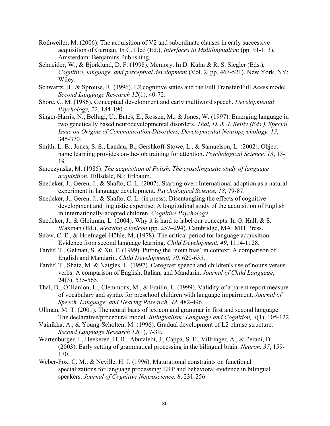- Rothweiler, M. (2006). The acquisition of V2 and subordinate clauses in early successive acquisition of German. In C. Lleó (Ed.), *Interfaces in Multilingualism* (pp. 91-113). Amsterdam: Benjamins Publishing.
- Schneider, W., & Bjorklund, D. F. (1998). Memory. In D. Kuhn & R. S. Siegler (Eds.), *Cognitive, language, and perceptual development* (Vol. 2, pp. 467-521). New York, NY: Wiley.
- Schwartz, B., & Sprouse, R. (1996). L2 cognitive states and the Full Transfer/Full Acess model. *Second Language Research 12*(1), 40-72.
- Shore, C. M. (1986). Conceptual development and early multiword speech. *Developmental Psychology, 22*, 184-190.
- Singer-Harris, N., Bellugi, U., Bates, E., Rossen, M., & Jones, W. (1997). Emerging language in two genetically based neurodevelopmental disorders. *Thal, D. & J. Reilly (Eds.). Special Issue on Origins of Communication Disorders, Developmental Neuropsychology, 13*, 345-370.
- Smith, L. B., Jones, S. S., Landau, B., Gershkoff-Stowe, L., & Samuelson, L. (2002). Object name learning provides on-the-job training for attention. *Psychological Science, 13*, 13- 19.
- Smoczynska, M. (1985). *The acquisition of Polish. The crosslinguistic study of language acquisition*. Hillsdale, NJ: Erlbaum.
- Snedeker, J., Geren, J., & Shafto, C. L. (2007). Starting over: International adoption as a natural experiment in language development. *Psychological Science, 18*, 79-87.
- Snedeker, J., Geren, J., & Shafto, C. L. (in press). Disentangling the effects of cognitive development and linguistic expertise: A longitudinal study of the acquisition of English in internationally-adopted children. *Cognitive Psychology*.
- Snedeker, J., & Gleitman, L. (2004). Why it is hard to label our concepts. In G. Hall, & S. Waxman (Ed.), *Weaving a lexicon* (pp. 257–294). Cambridge, MA: MIT Press.
- Snow, C. E., & Hoefnagel-Höhle, M. (1978). The critical period for language acquisition: Evidence from second language learning. *Child Development, 49*, 1114-1128.
- Tardif, T., Gelman, S. & Xu, F. (1999). Putting the 'noun bias' in context: A comparison of English and Mandarin. *Child Development, 70,* 620-635.
- Tardif, T., Shatz, M. & Naigles, L. (1997). Caregiver speech and children's use of nouns versus verbs: A comparison of English, Italian, and Mandarin. *Journal of Child Language*, 24(3), 535-565.
- Thal, D., O'Hanlon, L., Clemmons, M., & Frailin, L. (1999). Validity of a parent report measure of vocabulary and syntax for preschool children with language impairment. *Journal of Speech, Language, and Hearing Research, 42*, 482-496.
- Ullman, M. T. (2001). The neural basis of lexicon and grammar in first and second language: The declarative/procedural model. *Bilingualism: Language and Cognition, 4*(1), 105-122.
- Vainikka, A., & Young-Scholten, M. (1996). Gradual development of L2 phrase structure. *Second Language Research 12*(1), 7-39.
- Wartenburger, I., Heekeren, H. R., Abutalebi, J., Cappa, S. F., Villringer, A., & Perani, D. (2003). Early setting of grammatical processing in the bilingual brain. *Neuron, 37*, 159- 170.
- Weber-Fox, C. M., & Neville, H. J. (1996). Maturational constraints on functional specializations for language processing: ERP and behavioral evidence in bilingual speakers. *Journal of Cognitive Neuroscience, 8*, 231-256.